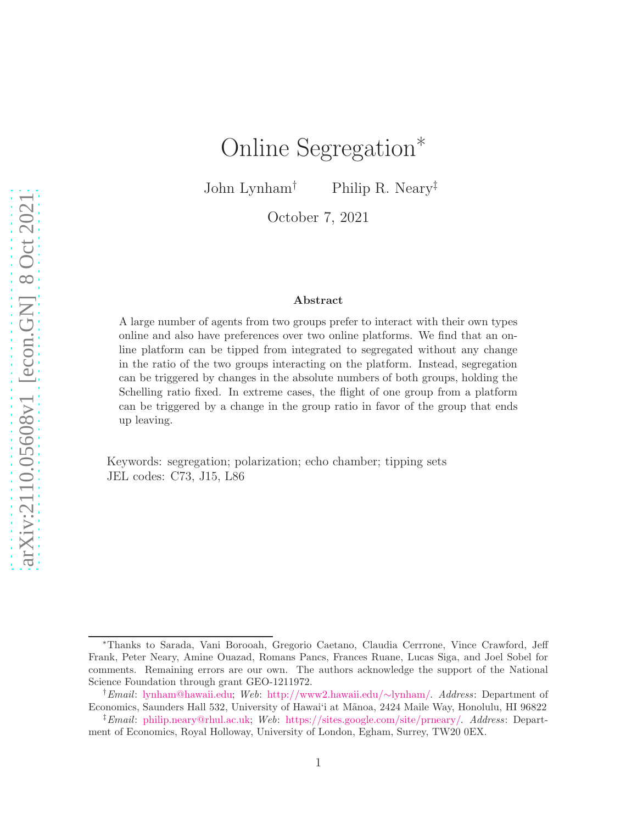# Online Segregation<sup>∗</sup>

John Lynham† Philip R. Neary‡

October 7, 2021

#### Abstract

A large number of agents from two groups prefer to interact with their own types online and also have preferences over two online platforms. We find that an online platform can be tipped from integrated to segregated without any change in the ratio of the two groups interacting on the platform. Instead, segregation can be triggered by changes in the absolute numbers of both groups, holding the Schelling ratio fixed. In extreme cases, the flight of one group from a platform can be triggered by a change in the group ratio in favor of the group that ends up leaving.

Keywords: segregation; polarization; echo chamber; tipping sets JEL codes: C73, J15, L86

<sup>∗</sup>Thanks to Sarada, Vani Borooah, Gregorio Caetano, Claudia Cerrrone, Vince Crawford, Jeff Frank, Peter Neary, Amine Ouazad, Romans Pancs, Frances Ruane, Lucas Siga, and Joel Sobel for comments. Remaining errors are our own. The authors acknowledge the support of the National Science Foundation through grant GEO-1211972.

<sup>†</sup>Email: [lynham@hawaii.edu;](mailto:lynham@hawaii.edu) Web: [http://www2.hawaii.edu/](http://www2.hawaii.edu/\protect \unhbox \voidb@x \protect \penalty \@M \ {}lynham/)∼lynham/. Address: Department of Economics, Saunders Hall 532, University of Hawai'i at M˜anoa, 2424 Maile Way, Honolulu, HI 96822

<sup>‡</sup>Email: [philip.neary@rhul.ac.uk;](mailto:philip.neary@rhul.ac.uk) Web: [https://sites.google.com/site/prneary/.](https://sites.google.com/site/prneary/) Address: Department of Economics, Royal Holloway, University of London, Egham, Surrey, TW20 0EX.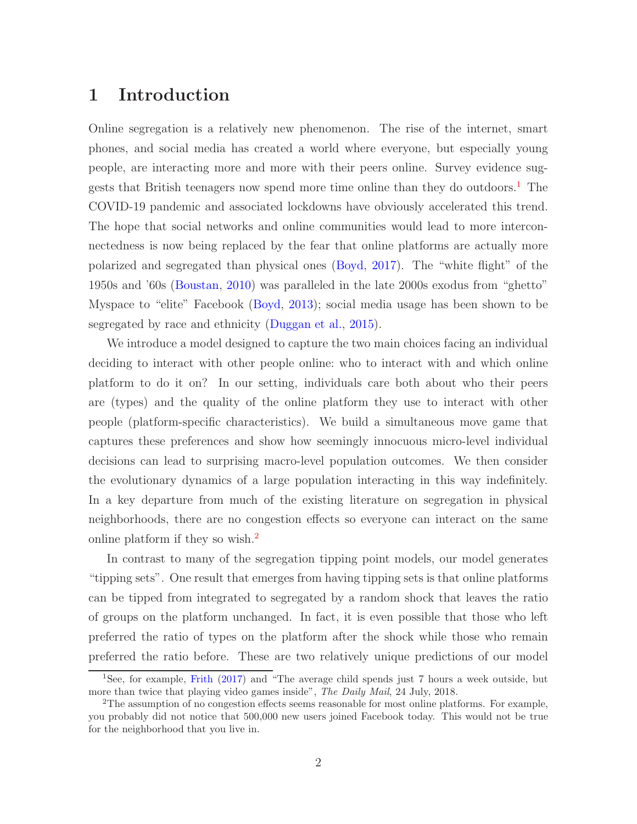# 1 Introduction

Online segregation is a relatively new phenomenon. The rise of the internet, smart phones, and social media has created a world where everyone, but especially young people, are interacting more and more with their peers online. Survey evidence sug-gests that British teenagers now spend more time online than they do outdoors.<sup>[1](#page-1-0)</sup> The COVID-19 pandemic and associated lockdowns have obviously accelerated this trend. The hope that social networks and online communities would lead to more interconnectedness is now being replaced by the fear that online platforms are actually more polarized and segregated than physical ones [\(Boyd,](#page-19-0) [2017](#page-19-0)). The "white flight" of the 1950s and '60s [\(Boustan](#page-18-0), [2010](#page-18-0)) was paralleled in the late 2000s exodus from "ghetto" Myspace to "elite" Facebook [\(Boyd,](#page-19-1) [2013](#page-19-1)); social media usage has been shown to be segregated by race and ethnicity [\(Duggan et al.,](#page-19-2) [2015\)](#page-19-2).

We introduce a model designed to capture the two main choices facing an individual deciding to interact with other people online: who to interact with and which online platform to do it on? In our setting, individuals care both about who their peers are (types) and the quality of the online platform they use to interact with other people (platform-specific characteristics). We build a simultaneous move game that captures these preferences and show how seemingly innocuous micro-level individual decisions can lead to surprising macro-level population outcomes. We then consider the evolutionary dynamics of a large population interacting in this way indefinitely. In a key departure from much of the existing literature on segregation in physical neighborhoods, there are no congestion effects so everyone can interact on the same online platform if they so wish.<sup>[2](#page-1-1)</sup>

In contrast to many of the segregation tipping point models, our model generates "tipping sets". One result that emerges from having tipping sets is that online platforms can be tipped from integrated to segregated by a random shock that leaves the ratio of groups on the platform unchanged. In fact, it is even possible that those who left preferred the ratio of types on the platform after the shock while those who remain preferred the ratio before. These are two relatively unique predictions of our model

<span id="page-1-0"></span><sup>1</sup>See, for example, [Frith](#page-20-0) [\(2017\)](#page-20-0) and "The average child spends just 7 hours a week outside, but more than twice that playing video games inside", The Daily Mail, 24 July, 2018.

<span id="page-1-1"></span><sup>2</sup>The assumption of no congestion effects seems reasonable for most online platforms. For example, you probably did not notice that 500,000 new users joined Facebook today. This would not be true for the neighborhood that you live in.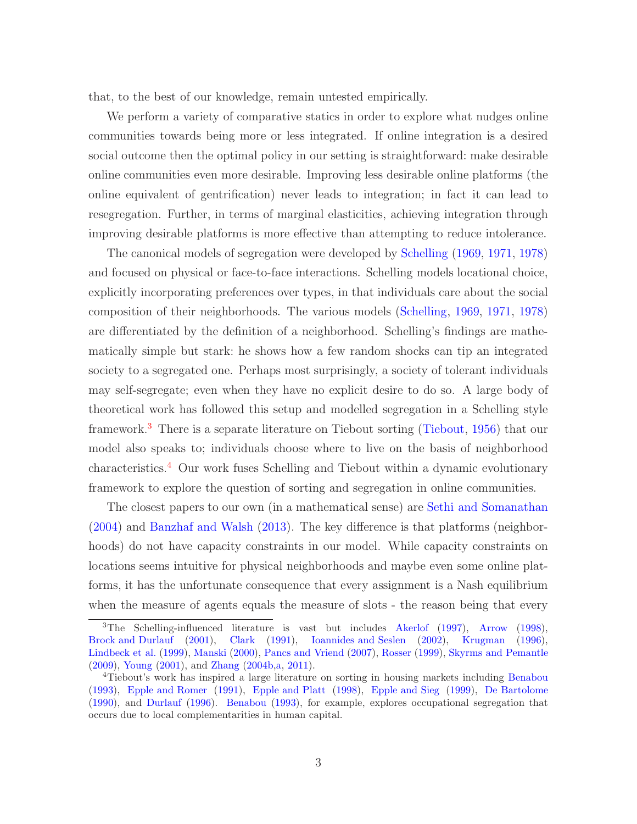that, to the best of our knowledge, remain untested empirically.

We perform a variety of comparative statics in order to explore what nudges online communities towards being more or less integrated. If online integration is a desired social outcome then the optimal policy in our setting is straightforward: make desirable online communities even more desirable. Improving less desirable online platforms (the online equivalent of gentrification) never leads to integration; in fact it can lead to resegregation. Further, in terms of marginal elasticities, achieving integration through improving desirable platforms is more effective than attempting to reduce intolerance.

The canonical models of segregation were developed by [Schelling](#page-20-1) [\(1969](#page-20-1), [1971](#page-20-2), [1978](#page-20-3)) and focused on physical or face-to-face interactions. Schelling models locational choice, explicitly incorporating preferences over types, in that individuals care about the social composition of their neighborhoods. The various models [\(Schelling,](#page-20-1) [1969,](#page-20-1) [1971,](#page-20-2) [1978](#page-20-3)) are differentiated by the definition of a neighborhood. Schelling's findings are mathematically simple but stark: he shows how a few random shocks can tip an integrated society to a segregated one. Perhaps most surprisingly, a society of tolerant individuals may self-segregate; even when they have no explicit desire to do so. A large body of theoretical work has followed this setup and modelled segregation in a Schelling style framework.[3](#page-2-0) There is a separate literature on Tiebout sorting [\(Tiebout,](#page-21-0) [1956](#page-21-0)) that our model also speaks to; individuals choose where to live on the basis of neighborhood characteristics.[4](#page-2-1) Our work fuses Schelling and Tiebout within a dynamic evolutionary framework to explore the question of sorting and segregation in online communities.

The closest papers to our own (in a mathematical sense) are [Sethi and Somanathan](#page-21-1) [\(2004](#page-21-1)) and [Banzhaf and Walsh](#page-18-1) [\(2013](#page-18-1)). The key difference is that platforms (neighborhoods) do not have capacity constraints in our model. While capacity constraints on locations seems intuitive for physical neighborhoods and maybe even some online platforms, it has the unfortunate consequence that every assignment is a Nash equilibrium when the measure of agents equals the measure of slots - the reason being that every

<span id="page-2-0"></span><sup>3</sup>The Schelling-influenced literature is vast but includes [Akerlof](#page-18-2) [\(1997](#page-18-2)), [Arrow](#page-18-3) [\(1998\)](#page-18-3), [Brock and Durlauf](#page-19-3) [\(2001\)](#page-19-3), [Clark](#page-19-4) [\(1991\)](#page-19-4), [Ioannides and Seslen](#page-20-4) [\(2002\)](#page-20-4), [Krugman](#page-20-5) [\(1996\)](#page-20-5), [Lindbeck et al.](#page-20-6) [\(1999\)](#page-20-6), [Manski](#page-20-7) [\(2000\)](#page-20-7), [Pancs and Vriend](#page-20-8) [\(2007\)](#page-20-8), [Rosser](#page-20-9) [\(1999](#page-20-9)), [Skyrms and Pemantle](#page-21-2) [\(2009\)](#page-21-2), [Young](#page-21-3) [\(2001\)](#page-21-3), and [Zhang](#page-21-4) [\(2004b](#page-21-4)[,a](#page-21-5), [2011\)](#page-21-6).

<span id="page-2-1"></span><sup>4</sup>Tiebout's work has inspired a large literature on sorting in housing markets including [Benabou](#page-18-4) [\(1993\)](#page-18-4), [Epple and Romer](#page-19-5) [\(1991\)](#page-19-5), [Epple and Platt](#page-19-6) [\(1998](#page-19-6)), [Epple and Sieg](#page-19-7) [\(1999\)](#page-19-7), [De Bartolome](#page-18-5) [\(1990\)](#page-18-5), and [Durlauf](#page-19-8) [\(1996\)](#page-19-8). [Benabou](#page-18-4) [\(1993\)](#page-18-4), for example, explores occupational segregation that occurs due to local complementarities in human capital.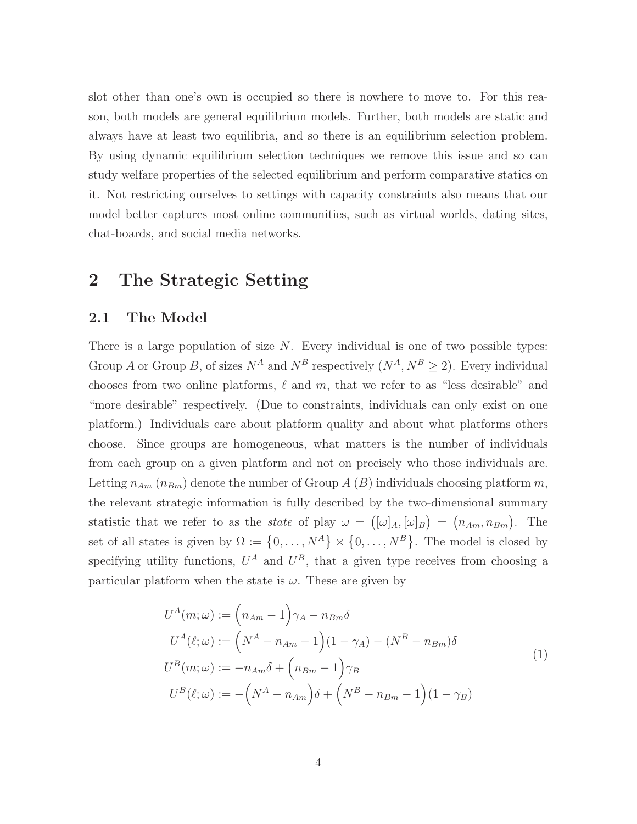slot other than one's own is occupied so there is nowhere to move to. For this reason, both models are general equilibrium models. Further, both models are static and always have at least two equilibria, and so there is an equilibrium selection problem. By using dynamic equilibrium selection techniques we remove this issue and so can study welfare properties of the selected equilibrium and perform comparative statics on it. Not restricting ourselves to settings with capacity constraints also means that our model better captures most online communities, such as virtual worlds, dating sites, chat-boards, and social media networks.

# 2 The Strategic Setting

#### 2.1 The Model

There is a large population of size  $N$ . Every individual is one of two possible types: Group A or Group B, of sizes  $N^A$  and  $N^B$  respectively  $(N^A, N^B \ge 2)$ . Every individual chooses from two online platforms,  $\ell$  and  $m$ , that we refer to as "less desirable" and "more desirable" respectively. (Due to constraints, individuals can only exist on one platform.) Individuals care about platform quality and about what platforms others choose. Since groups are homogeneous, what matters is the number of individuals from each group on a given platform and not on precisely who those individuals are. Letting  $n_{Am}$  ( $n_{Bm}$ ) denote the number of Group A (B) individuals choosing platform m, the relevant strategic information is fully described by the two-dimensional summary statistic that we refer to as the *state* of play  $\omega = ([\omega]_A, [\omega]_B) = (n_{Am}, n_{Bm})$ . The set of all states is given by  $\Omega := \{0, \ldots, N^A\} \times \{0, \ldots, N^B\}$ . The model is closed by specifying utility functions,  $U^A$  and  $U^B$ , that a given type receives from choosing a particular platform when the state is  $\omega$ . These are given by

<span id="page-3-0"></span>
$$
U^{A}(m;\omega) := (n_{Am} - 1)\gamma_{A} - n_{Bm}\delta
$$
  
\n
$$
U^{A}(\ell;\omega) := (N^{A} - n_{Am} - 1)(1 - \gamma_{A}) - (N^{B} - n_{Bm})\delta
$$
  
\n
$$
U^{B}(m;\omega) := -n_{Am}\delta + (n_{Bm} - 1)\gamma_{B}
$$
  
\n
$$
U^{B}(\ell;\omega) := -\left(N^{A} - n_{Am}\right)\delta + \left(N^{B} - n_{Bm} - 1\right)(1 - \gamma_{B})
$$
\n(1)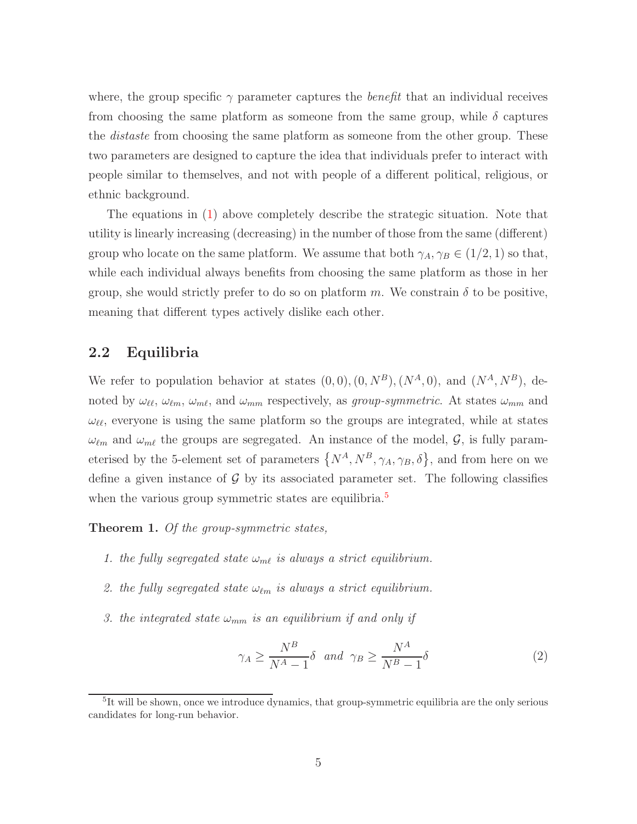where, the group specific  $\gamma$  parameter captures the *benefit* that an individual receives from choosing the same platform as someone from the same group, while  $\delta$  captures the *distaste* from choosing the same platform as someone from the other group. These two parameters are designed to capture the idea that individuals prefer to interact with people similar to themselves, and not with people of a different political, religious, or ethnic background.

The equations in [\(1\)](#page-3-0) above completely describe the strategic situation. Note that utility is linearly increasing (decreasing) in the number of those from the same (different) group who locate on the same platform. We assume that both  $\gamma_A, \gamma_B \in (1/2, 1)$  so that, while each individual always benefits from choosing the same platform as those in her group, she would strictly prefer to do so on platform m. We constrain  $\delta$  to be positive, meaning that different types actively dislike each other.

#### 2.2 Equilibria

We refer to population behavior at states  $(0,0),(0,N^B),(N^A,0)$ , and  $(N^A,N^B)$ , denoted by  $\omega_{\ell\ell}, \omega_{\ell m}, \omega_{m\ell}$ , and  $\omega_{mm}$  respectively, as *group-symmetric*. At states  $\omega_{mm}$  and  $\omega_{\ell\ell}$ , everyone is using the same platform so the groups are integrated, while at states  $\omega_{\ell m}$  and  $\omega_{m\ell}$  the groups are segregated. An instance of the model,  $\mathcal{G}$ , is fully parameterised by the 5-element set of parameters  $\{N^A, N^B, \gamma_A, \gamma_B, \delta\}$ , and from here on we define a given instance of  $G$  by its associated parameter set. The following classifies when the various group symmetric states are equilibria.<sup>[5](#page-4-0)</sup>

<span id="page-4-2"></span><span id="page-4-1"></span>Theorem 1. *Of the group-symmetric states,*

- <span id="page-4-3"></span>*1. the fully segregated state*  $\omega_{m\ell}$  *is always a strict equilibrium.*
- <span id="page-4-4"></span>2. the fully segregated state  $\omega_{\ell m}$  is always a strict equilibrium.
- *3. the integrated state*  $\omega_{mm}$  *is an equilibrium if and only if*

<span id="page-4-6"></span>
$$
\gamma_A \ge \frac{N^B}{N^A - 1} \delta \quad and \quad \gamma_B \ge \frac{N^A}{N^B - 1} \delta \tag{2}
$$

<span id="page-4-5"></span><span id="page-4-0"></span><sup>&</sup>lt;sup>5</sup>It will be shown, once we introduce dynamics, that group-symmetric equilibria are the only serious candidates for long-run behavior.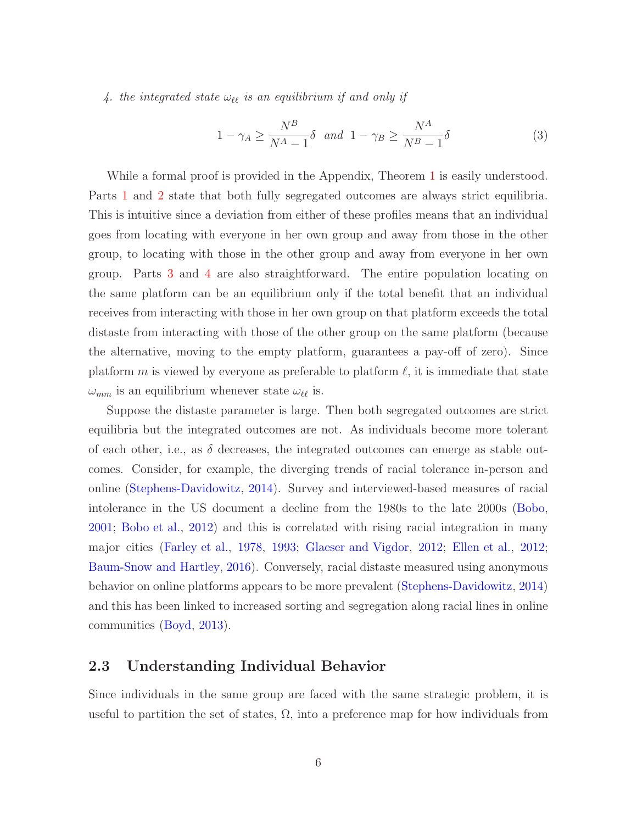*4. the integrated state* ωℓℓ *is an equilibrium if and only if*

<span id="page-5-0"></span>
$$
1 - \gamma_A \ge \frac{N^B}{N^A - 1} \delta \quad and \quad 1 - \gamma_B \ge \frac{N^A}{N^B - 1} \delta \tag{3}
$$

While a formal proof is provided in the Appendix, Theorem [1](#page-4-1) is easily understood. Parts [1](#page-4-2) and [2](#page-4-3) state that both fully segregated outcomes are always strict equilibria. This is intuitive since a deviation from either of these profiles means that an individual goes from locating with everyone in her own group and away from those in the other group, to locating with those in the other group and away from everyone in her own group. Parts [3](#page-4-4) and [4](#page-4-5) are also straightforward. The entire population locating on the same platform can be an equilibrium only if the total benefit that an individual receives from interacting with those in her own group on that platform exceeds the total distaste from interacting with those of the other group on the same platform (because the alternative, moving to the empty platform, guarantees a pay-off of zero). Since platform m is viewed by everyone as preferable to platform  $\ell$ , it is immediate that state  $\omega_{mm}$  is an equilibrium whenever state  $\omega_{\ell\ell}$  is.

Suppose the distaste parameter is large. Then both segregated outcomes are strict equilibria but the integrated outcomes are not. As individuals become more tolerant of each other, i.e., as  $\delta$  decreases, the integrated outcomes can emerge as stable outcomes. Consider, for example, the diverging trends of racial tolerance in-person and online [\(Stephens-Davidowitz](#page-21-7), [2014\)](#page-21-7). Survey and interviewed-based measures of racial intolerance in the US document a decline from the 1980s to the late 2000s [\(Bobo,](#page-18-6) [2001;](#page-18-6) [Bobo et al.](#page-18-7), [2012\)](#page-18-7) and this is correlated with rising racial integration in many major cities [\(Farley et al.](#page-20-10), [1978](#page-20-10), [1993;](#page-19-9) [Glaeser and Vigdor](#page-20-11), [2012;](#page-20-11) [Ellen et al.](#page-19-10), [2012;](#page-19-10) [Baum-Snow and Hartley](#page-18-8), [2016](#page-18-8)). Conversely, racial distaste measured using anonymous behavior on online platforms appears to be more prevalent [\(Stephens-Davidowitz](#page-21-7), [2014](#page-21-7)) and this has been linked to increased sorting and segregation along racial lines in online communities [\(Boyd](#page-19-1), [2013\)](#page-19-1).

#### 2.3 Understanding Individual Behavior

Since individuals in the same group are faced with the same strategic problem, it is useful to partition the set of states,  $\Omega$ , into a preference map for how individuals from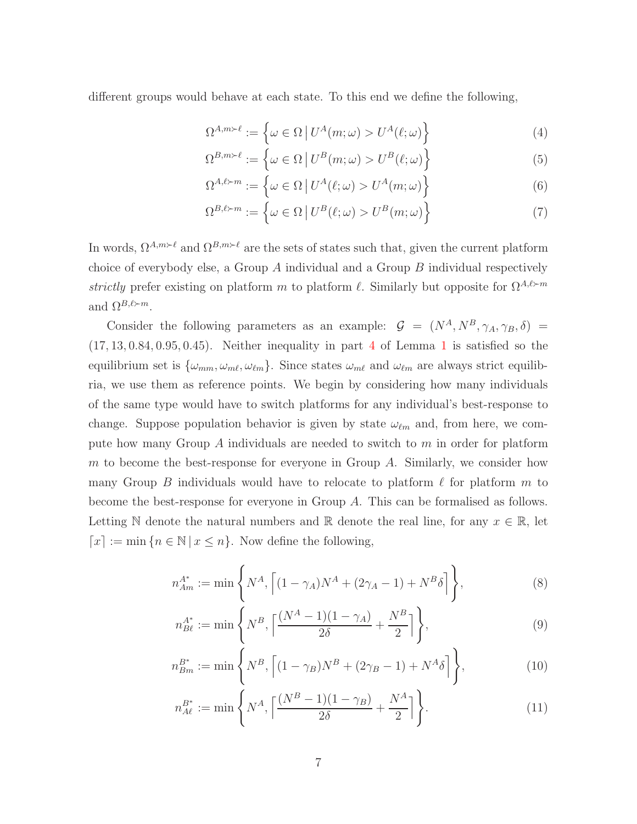different groups would behave at each state. To this end we define the following,

$$
\Omega^{A,m \succ \ell} := \left\{ \omega \in \Omega \, \big| \, U^A(m; \omega) > U^A(\ell; \omega) \right\} \tag{4}
$$

$$
\Omega^{B,m \succ \ell} := \left\{ \omega \in \Omega \, \big| \, U^B(m; \omega) > U^B(\ell; \omega) \right\} \tag{5}
$$

$$
\Omega^{A,\ell \succ m} := \left\{ \omega \in \Omega \, \big| \, U^A(\ell;\omega) > U^A(m;\omega) \right\} \tag{6}
$$

$$
\Omega^{B,\ell \succ m} := \left\{ \omega \in \Omega \, \big| \, U^B(\ell;\omega) > U^B(m;\omega) \right\} \tag{7}
$$

In words,  $\Omega^{A,m\succ \ell}$  and  $\Omega^{B,m\succ \ell}$  are the sets of states such that, given the current platform choice of everybody else, a Group  $A$  individual and a Group  $B$  individual respectively *strictly* prefer existing on platform m to platform  $\ell$ . Similarly but opposite for  $\Omega^{A,\ell \succ m}$ and  $\Omega^{B,\ell \succ m}$ .

Consider the following parameters as an example:  $\mathcal{G} = (N^A, N^B, \gamma_A, \gamma_B, \delta)$  $(17, 13, 0.84, 0.95, 0.45)$  $(17, 13, 0.84, 0.95, 0.45)$  $(17, 13, 0.84, 0.95, 0.45)$ . Neither inequality in part 4 of Lemma [1](#page-4-1) is satisfied so the equilibrium set is  $\{\omega_{mm}, \omega_{m\ell}, \omega_{\ell m}\}$ . Since states  $\omega_{m\ell}$  and  $\omega_{\ell m}$  are always strict equilibria, we use them as reference points. We begin by considering how many individuals of the same type would have to switch platforms for any individual's best-response to change. Suppose population behavior is given by state  $\omega_{\ell m}$  and, from here, we compute how many Group  $A$  individuals are needed to switch to  $m$  in order for platform m to become the best-response for everyone in Group  $A$ . Similarly, we consider how many Group B individuals would have to relocate to platform  $\ell$  for platform m to become the best-response for everyone in Group A. This can be formalised as follows. Letting N denote the natural numbers and R denote the real line, for any  $x \in \mathbb{R}$ , let  $\lceil x \rceil := \min \{ n \in \mathbb{N} \mid x \leq n \}.$  Now define the following,

$$
n_{Am}^{A^*} := \min\left\{ N^A, \left[ (1 - \gamma_A)N^A + (2\gamma_A - 1) + N^B \delta \right] \right\},\tag{8}
$$

<span id="page-6-0"></span>
$$
n_{B\ell}^{A^*} := \min\left\{ N^B, \left\lceil \frac{(N^A - 1)(1 - \gamma_A)}{2\delta} + \frac{N^B}{2} \right\rceil \right\},\tag{9}
$$

$$
n_{Bm}^{B^*} := \min\left\{ N^B, \left[ (1 - \gamma_B) N^B + (2\gamma_B - 1) + N^A \delta \right] \right\},\tag{10}
$$

<span id="page-6-1"></span>
$$
n_{A\ell}^{B^*} := \min\left\{N^A, \left\lceil \frac{(N^B - 1)(1 - \gamma_B)}{2\delta} + \frac{N^A}{2} \right\rceil \right\}.
$$
 (11)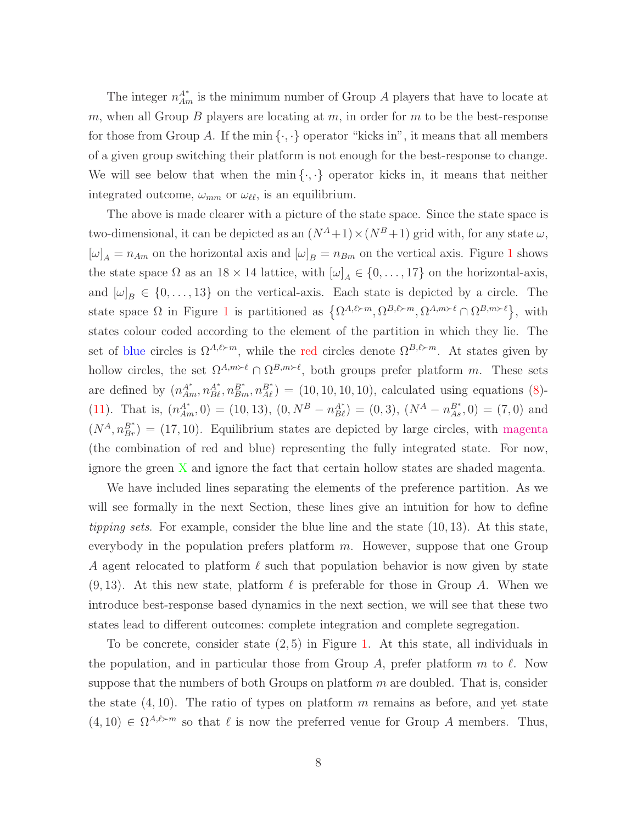The integer  $n_{Am}^{A^*}$  is the minimum number of Group A players that have to locate at m, when all Group B players are locating at  $m$ , in order for  $m$  to be the best-response for those from Group A. If the min  $\{\cdot,\cdot\}$  operator "kicks in", it means that all members of a given group switching their platform is not enough for the best-response to change. We will see below that when the min $\{\cdot,\cdot\}$  operator kicks in, it means that neither integrated outcome,  $\omega_{mm}$  or  $\omega_{\ell\ell}$ , is an equilibrium.

The above is made clearer with a picture of the state space. Since the state space is two-dimensional, it can be depicted as an  $(N^A+1)\times(N^B+1)$  grid with, for any state  $\omega$ ,  $[\omega]_A = n_{Am}$  on the horizontal axis and  $[\omega]_B = n_{Bm}$  on the vertical axis. Figure [1](#page-8-0) shows the state space  $\Omega$  as an  $18 \times 14$  lattice, with  $[\omega]_A \in \{0, \ldots, 17\}$  on the horizontal-axis, and  $[\omega]_B \in \{0, \ldots, 13\}$  on the vertical-axis. Each state is depicted by a circle. The state space  $\Omega$  in Figure [1](#page-8-0) is partitioned as  $\{\Omega^{A,\ell\succ m},\Omega^{B,\ell\succ m},\Omega^{A,m\succ\ell}\cap\Omega^{B,m\succ\ell}\},\$  with states colour coded according to the element of the partition in which they lie. The set of blue circles is  $\Omega^{A,\ell \succ m}$ , while the red circles denote  $\Omega^{B,\ell \succ m}$ . At states given by hollow circles, the set  $\Omega^{A,m \succ \ell} \cap \Omega^{B,m \succ \ell}$ , both groups prefer platform m. These sets are defined by  $(n_{Am}^{A^*}, n_{B\ell}^{B^*}, n_{Am}^{B^*}) = (10, 10, 10, 10)$ , calculated using equations [\(8\)](#page-6-0)-[\(11\)](#page-6-1). That is,  $(n_{Am}^{A^*}, 0) = (10, 13), (0, N^B - n_{B\ell}^{A^*}) = (0, 3), (N^A - n_{As}^{B^*}, 0) = (7, 0)$  and  $(N<sup>A</sup>, n<sub>Br</sub><sup>B<sup>*</sup></sup>) = (17, 10)$ . Equilibrium states are depicted by large circles, with magenta (the combination of red and blue) representing the fully integrated state. For now, ignore the green X and ignore the fact that certain hollow states are shaded magenta.

We have included lines separating the elements of the preference partition. As we will see formally in the next Section, these lines give an intuition for how to define *tipping sets.* For example, consider the blue line and the state (10, 13). At this state, everybody in the population prefers platform  $m$ . However, suppose that one Group A agent relocated to platform  $\ell$  such that population behavior is now given by state  $(9, 13)$ . At this new state, platform  $\ell$  is preferable for those in Group A. When we introduce best-response based dynamics in the next section, we will see that these two states lead to different outcomes: complete integration and complete segregation.

To be concrete, consider state  $(2, 5)$  in Figure [1.](#page-8-0) At this state, all individuals in the population, and in particular those from Group A, prefer platform  $m$  to  $\ell$ . Now suppose that the numbers of both Groups on platform  $m$  are doubled. That is, consider the state  $(4, 10)$ . The ratio of types on platform m remains as before, and yet state  $(4, 10) \in \Omega^{A, \ell \succ m}$  so that  $\ell$  is now the preferred venue for Group A members. Thus,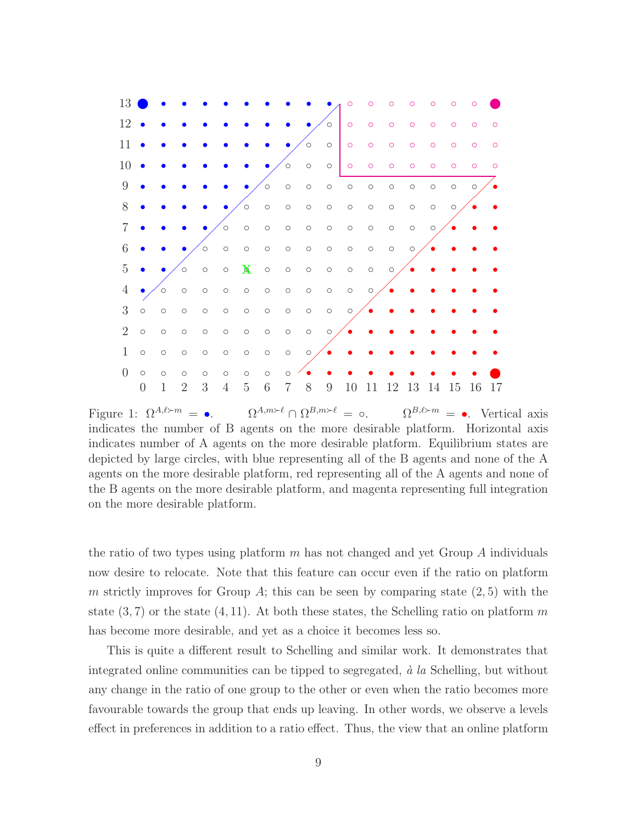

<span id="page-8-0"></span>Figure 1:  $\Omega^{A,\ell \succ m} = \bullet$ .  $\Omega^{A,m \succ \ell} \cap \Omega^{B,m \succ \ell} = \circ$ .  $\Omega^{B,\ell \succ m} = \bullet$ . Vertical axis indicates the number of B agents on the more desirable platform. Horizontal axis indicates number of A agents on the more desirable platform. Equilibrium states are depicted by large circles, with blue representing all of the B agents and none of the A agents on the more desirable platform, red representing all of the A agents and none of the B agents on the more desirable platform, and magenta representing full integration on the more desirable platform.

the ratio of two types using platform  $m$  has not changed and yet Group  $A$  individuals now desire to relocate. Note that this feature can occur even if the ratio on platform m strictly improves for Group  $A$ ; this can be seen by comparing state  $(2, 5)$  with the state  $(3, 7)$  or the state  $(4, 11)$ . At both these states, the Schelling ratio on platform m has become more desirable, and yet as a choice it becomes less so.

This is quite a different result to Schelling and similar work. It demonstrates that integrated online communities can be tipped to segregated,  $\dot{a}$  la Schelling, but without any change in the ratio of one group to the other or even when the ratio becomes more favourable towards the group that ends up leaving. In other words, we observe a levels effect in preferences in addition to a ratio effect. Thus, the view that an online platform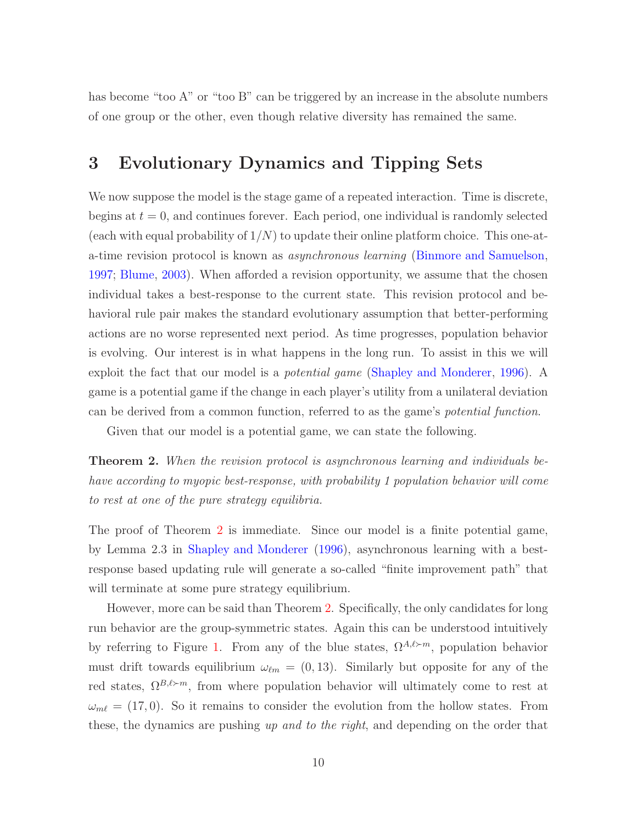has become "too A" or "too B" can be triggered by an increase in the absolute numbers of one group or the other, even though relative diversity has remained the same.

# 3 Evolutionary Dynamics and Tipping Sets

We now suppose the model is the stage game of a repeated interaction. Time is discrete, begins at  $t = 0$ , and continues forever. Each period, one individual is randomly selected (each with equal probability of  $1/N$ ) to update their online platform choice. This one-ata-time revision protocol is known as *asynchronous learning* [\(Binmore and Samuelson,](#page-18-9) [1997;](#page-18-9) [Blume](#page-18-10), [2003\)](#page-18-10). When afforded a revision opportunity, we assume that the chosen individual takes a best-response to the current state. This revision protocol and behavioral rule pair makes the standard evolutionary assumption that better-performing actions are no worse represented next period. As time progresses, population behavior is evolving. Our interest is in what happens in the long run. To assist in this we will exploit the fact that our model is a *potential game* [\(Shapley and Monderer,](#page-21-8) [1996\)](#page-21-8). A game is a potential game if the change in each player's utility from a unilateral deviation can be derived from a common function, referred to as the game's *potential function*.

Given that our model is a potential game, we can state the following.

<span id="page-9-0"></span>Theorem 2. *When the revision protocol is asynchronous learning and individuals behave according to myopic best-response, with probability 1 population behavior will come to rest at one of the pure strategy equilibria.*

The proof of Theorem [2](#page-9-0) is immediate. Since our model is a finite potential game, by Lemma 2.3 in [Shapley and Monderer](#page-21-8) [\(1996\)](#page-21-8), asynchronous learning with a bestresponse based updating rule will generate a so-called "finite improvement path" that will terminate at some pure strategy equilibrium.

However, more can be said than Theorem [2.](#page-9-0) Specifically, the only candidates for long run behavior are the group-symmetric states. Again this can be understood intuitively by referring to Figure [1.](#page-8-0) From any of the blue states,  $\Omega^{A,\ell \succ m}$ , population behavior must drift towards equilibrium  $\omega_{\ell m} = (0, 13)$ . Similarly but opposite for any of the red states,  $\Omega^{B,\ell \succ m}$ , from where population behavior will ultimately come to rest at  $\omega_{m\ell} = (17, 0)$ . So it remains to consider the evolution from the hollow states. From these, the dynamics are pushing *up and to the right*, and depending on the order that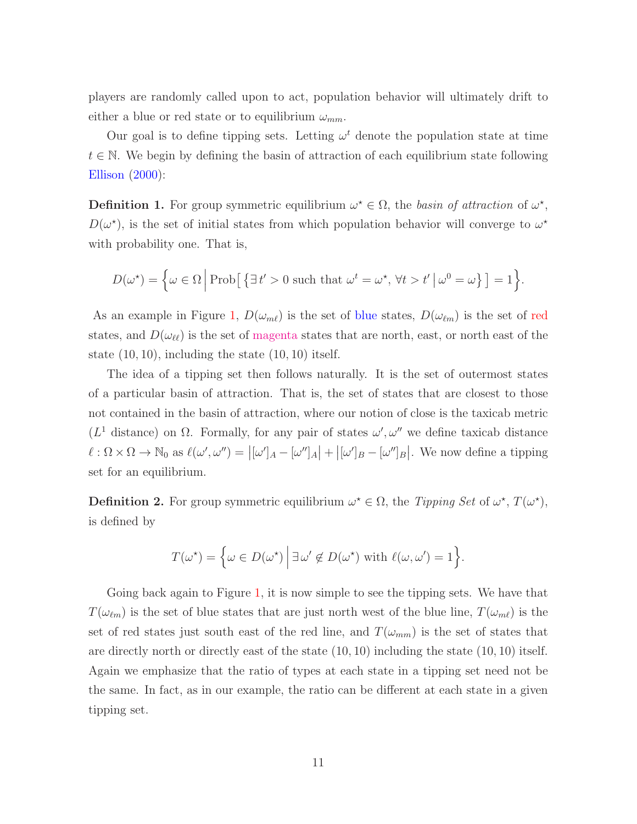players are randomly called upon to act, population behavior will ultimately drift to either a blue or red state or to equilibrium  $\omega_{mm}$ .

Our goal is to define tipping sets. Letting  $\omega^t$  denote the population state at time  $t \in \mathbb{N}$ . We begin by defining the basin of attraction of each equilibrium state following [Ellison](#page-19-11) [\(2000\)](#page-19-11):

**Definition 1.** For group symmetric equilibrium  $\omega^* \in \Omega$ , the *basin of attraction* of  $\omega^*$ ,  $D(\omega^*)$ , is the set of initial states from which population behavior will converge to  $\omega^*$ with probability one. That is,

$$
D(\omega^*) = \left\{ \omega \in \Omega \, \middle| \, \text{Prob}\big[ \, \{ \exists t' > 0 \text{ such that } \omega^t = \omega^*, \, \forall t > t' \, \big| \, \omega^0 = \omega \} \, \big] = 1 \right\}.
$$

As an example in Figure [1,](#page-8-0)  $D(\omega_{m\ell})$  is the set of blue states,  $D(\omega_{\ell m})$  is the set of red states, and  $D(\omega_{\ell\ell})$  is the set of magenta states that are north, east, or north east of the state  $(10, 10)$ , including the state  $(10, 10)$  itself.

The idea of a tipping set then follows naturally. It is the set of outermost states of a particular basin of attraction. That is, the set of states that are closest to those not contained in the basin of attraction, where our notion of close is the taxicab metric ( $L<sup>1</sup>$  distance) on Ω. Formally, for any pair of states  $ω', ω''$  we define taxicab distance  $\ell : \Omega \times \Omega \to \mathbb{N}_0$  as  $\ell(\omega', \omega'') = |\omega'|_A - [\omega'']_A| + |\omega'|_B - [\omega'']_B|$ . We now define a tipping set for an equilibrium.

**Definition 2.** For group symmetric equilibrium  $\omega^* \in \Omega$ , the *Tipping Set* of  $\omega^*$ ,  $T(\omega^*)$ , is defined by

$$
T(\omega^*) = \left\{ \omega \in D(\omega^*) \mid \exists \omega' \notin D(\omega^*) \text{ with } \ell(\omega, \omega') = 1 \right\}.
$$

Going back again to Figure [1,](#page-8-0) it is now simple to see the tipping sets. We have that  $T(\omega_{\ell m})$  is the set of blue states that are just north west of the blue line,  $T(\omega_{m\ell})$  is the set of red states just south east of the red line, and  $T(\omega_{mm})$  is the set of states that are directly north or directly east of the state (10, 10) including the state (10, 10) itself. Again we emphasize that the ratio of types at each state in a tipping set need not be the same. In fact, as in our example, the ratio can be different at each state in a given tipping set.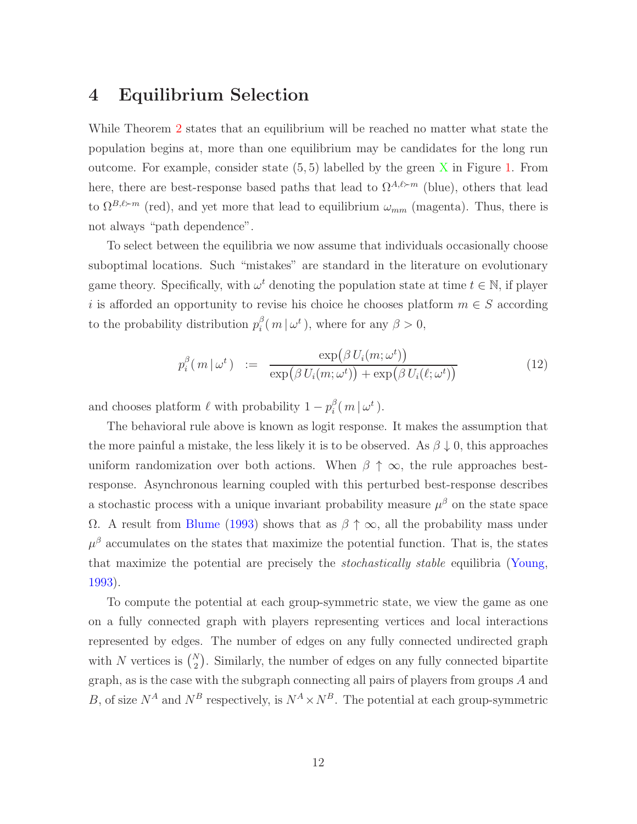# 4 Equilibrium Selection

While Theorem [2](#page-9-0) states that an equilibrium will be reached no matter what state the population begins at, more than one equilibrium may be candidates for the long run outcome. For example, consider state  $(5, 5)$  labelled by the green X in Figure [1.](#page-8-0) From here, there are best-response based paths that lead to  $\Omega^{A,\ell \succ m}$  (blue), others that lead to  $\Omega^{B,\ell \succ m}$  (red), and yet more that lead to equilibrium  $\omega_{mm}$  (magenta). Thus, there is not always "path dependence".

To select between the equilibria we now assume that individuals occasionally choose suboptimal locations. Such "mistakes" are standard in the literature on evolutionary game theory. Specifically, with  $\omega^t$  denoting the population state at time  $t \in \mathbb{N}$ , if player i is afforded an opportunity to revise his choice he chooses platform  $m \in S$  according to the probability distribution  $p_i^{\beta}$  $i^{\beta}(m|\omega^{t}),$  where for any  $\beta > 0$ ,

$$
p_i^{\beta}(m \mid \omega^t) \quad := \quad \frac{\exp(\beta U_i(m; \omega^t))}{\exp(\beta U_i(m; \omega^t)) + \exp(\beta U_i(\ell; \omega^t))}
$$
\n(12)

and chooses platform  $\ell$  with probability  $1 - p_i^{\beta}$  $\frac{\beta}{i}(|m\,|\,\omega^t\,).$ 

The behavioral rule above is known as logit response. It makes the assumption that the more painful a mistake, the less likely it is to be observed. As  $\beta \downarrow 0$ , this approaches uniform randomization over both actions. When  $\beta \uparrow \infty$ , the rule approaches bestresponse. Asynchronous learning coupled with this perturbed best-response describes a stochastic process with a unique invariant probability measure  $\mu^{\beta}$  on the state space Ω. A result from [Blume](#page-18-11) [\(1993](#page-18-11)) shows that as  $β ↑ ∞$ , all the probability mass under  $\mu^{\beta}$  accumulates on the states that maximize the potential function. That is, the states that maximize the potential are precisely the *stochastically stable* equilibria [\(Young,](#page-21-9) [1993\)](#page-21-9).

To compute the potential at each group-symmetric state, we view the game as one on a fully connected graph with players representing vertices and local interactions represented by edges. The number of edges on any fully connected undirected graph with N vertices is  $\binom{N}{2}$ . Similarly, the number of edges on any fully connected bipartite graph, as is the case with the subgraph connecting all pairs of players from groups A and B, of size  $N^A$  and  $N^B$  respectively, is  $N^A \times N^B$ . The potential at each group-symmetric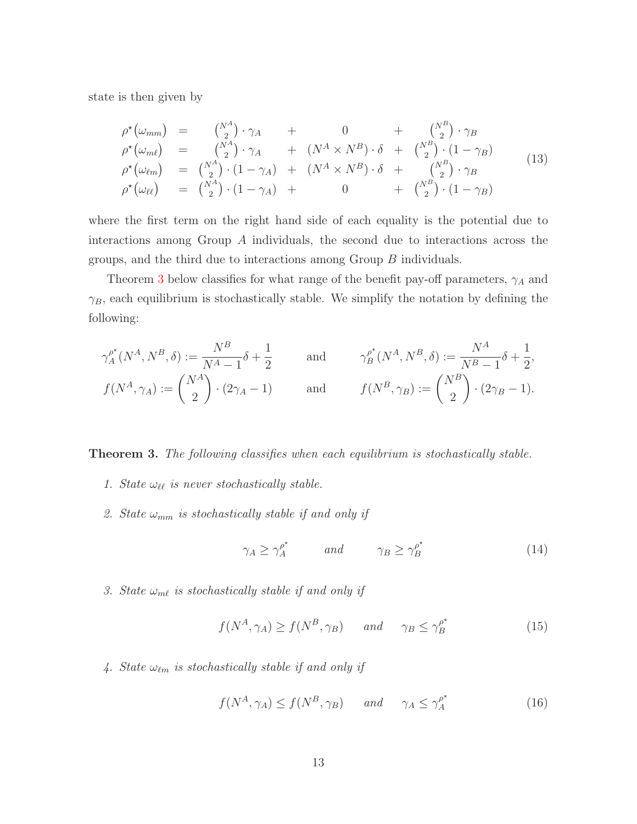state is then given by

<span id="page-12-2"></span>
$$
\rho^{\star}(\omega_{mm}) = \begin{pmatrix} N^{A} \\ 2 \end{pmatrix} \cdot \gamma_{A} + 0 + \begin{pmatrix} N^{B} \\ 2 \end{pmatrix} \cdot \gamma_{B} \n\rho^{\star}(\omega_{m\ell}) = \begin{pmatrix} N^{A} \\ 2 \end{pmatrix} \cdot \gamma_{A} + (N^{A} \times N^{B}) \cdot \delta + \begin{pmatrix} N^{B} \\ 2 \end{pmatrix} \cdot (1 - \gamma_{B}) \n\rho^{\star}(\omega_{\ell m}) = \begin{pmatrix} N^{A} \\ 2 \end{pmatrix} \cdot (1 - \gamma_{A}) + (N^{A} \times N^{B}) \cdot \delta + \begin{pmatrix} N^{B} \\ 2 \end{pmatrix} \cdot \gamma_{B} \n\rho^{\star}(\omega_{\ell \ell}) = \begin{pmatrix} N^{A} \\ 2 \end{pmatrix} \cdot (1 - \gamma_{A}) + 0 + \begin{pmatrix} N^{B} \\ 2 \end{pmatrix} \cdot (1 - \gamma_{B})
$$
\n(13)

where the first term on the right hand side of each equality is the potential due to interactions among Group A individuals, the second due to interactions across the groups, and the third due to interactions among Group B individuals.

Theorem [3](#page-12-0) below classifies for what range of the benefit pay-off parameters,  $\gamma_A$  and  $\gamma_B$ , each equilibrium is stochastically stable. We simplify the notation by defining the following:

$$
\gamma_A^{\rho^*}(N^A, N^B, \delta) := \frac{N^B}{N^A - 1} \delta + \frac{1}{2} \quad \text{and} \quad \gamma_B^{\rho^*}(N^A, N^B, \delta) := \frac{N^A}{N^B - 1} \delta + \frac{1}{2},
$$
  

$$
f(N^A, \gamma_A) := \binom{N^A}{2} \cdot (2\gamma_A - 1) \quad \text{and} \quad f(N^B, \gamma_B) := \binom{N^B}{2} \cdot (2\gamma_B - 1).
$$

<span id="page-12-0"></span>Theorem 3. *The following classifies when each equilibrium is stochastically stable.*

- <span id="page-12-3"></span>*1. State*  $\omega_{\ell\ell}$  *is never stochastically stable.*
- 2. State  $\omega_{mm}$  is stochastically stable if and only if

<span id="page-12-1"></span>
$$
\gamma_A \ge \gamma_A^{\rho^*} \qquad \text{and} \qquad \gamma_B \ge \gamma_B^{\rho^*} \tag{14}
$$

<span id="page-12-4"></span>*3. State*  $\omega_{m\ell}$  *is stochastically stable if and only if* 

$$
f(N^A, \gamma_A) \ge f(N^B, \gamma_B) \qquad and \qquad \gamma_B \le \gamma_B^{\rho^*} \tag{15}
$$

<span id="page-12-5"></span>4. State  $\omega_{\ell m}$  *is stochastically stable if and only if* 

<span id="page-12-6"></span>
$$
f(N^A, \gamma_A) \le f(N^B, \gamma_B) \qquad and \qquad \gamma_A \le \gamma_A^{\rho^*} \tag{16}
$$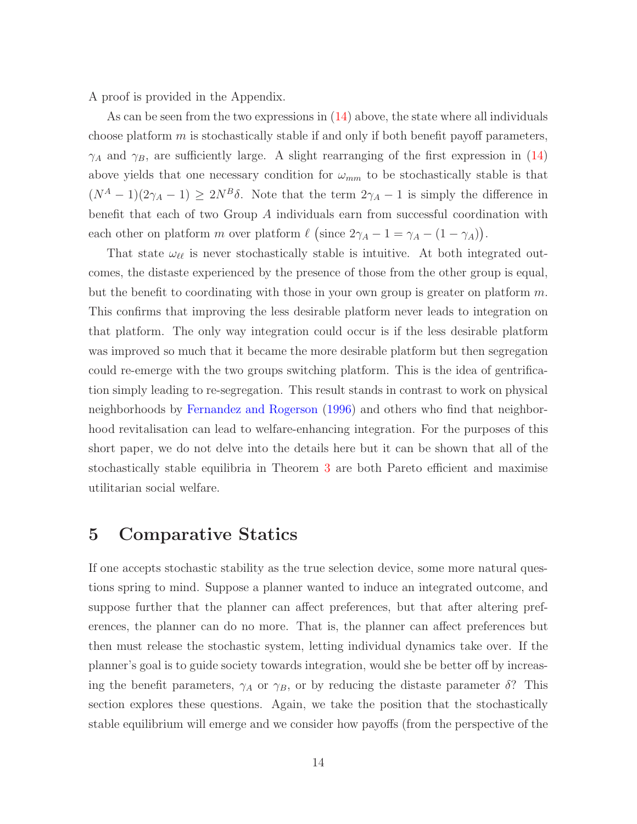A proof is provided in the Appendix.

As can be seen from the two expressions in  $(14)$  above, the state where all individuals choose platform  $m$  is stochastically stable if and only if both benefit payoff parameters,  $\gamma_A$  and  $\gamma_B$ , are sufficiently large. A slight rearranging of the first expression in [\(14\)](#page-12-1) above yields that one necessary condition for  $\omega_{mm}$  to be stochastically stable is that  $(N^A - 1)(2\gamma_A - 1) \geq 2N^B\delta$ . Note that the term  $2\gamma_A - 1$  is simply the difference in benefit that each of two Group A individuals earn from successful coordination with each other on platform m over platform  $\ell$  (since  $2\gamma_A - 1 = \gamma_A - (1 - \gamma_A)$ ).

That state  $\omega_{\ell\ell}$  is never stochastically stable is intuitive. At both integrated outcomes, the distaste experienced by the presence of those from the other group is equal, but the benefit to coordinating with those in your own group is greater on platform  $m$ . This confirms that improving the less desirable platform never leads to integration on that platform. The only way integration could occur is if the less desirable platform was improved so much that it became the more desirable platform but then segregation could re-emerge with the two groups switching platform. This is the idea of gentrification simply leading to re-segregation. This result stands in contrast to work on physical neighborhoods by [Fernandez and Rogerson](#page-20-12) [\(1996\)](#page-20-12) and others who find that neighborhood revitalisation can lead to welfare-enhancing integration. For the purposes of this short paper, we do not delve into the details here but it can be shown that all of the stochastically stable equilibria in Theorem [3](#page-12-0) are both Pareto efficient and maximise utilitarian social welfare.

# 5 Comparative Statics

If one accepts stochastic stability as the true selection device, some more natural questions spring to mind. Suppose a planner wanted to induce an integrated outcome, and suppose further that the planner can affect preferences, but that after altering preferences, the planner can do no more. That is, the planner can affect preferences but then must release the stochastic system, letting individual dynamics take over. If the planner's goal is to guide society towards integration, would she be better off by increasing the benefit parameters,  $\gamma_A$  or  $\gamma_B$ , or by reducing the distaste parameter  $\delta$ ? This section explores these questions. Again, we take the position that the stochastically stable equilibrium will emerge and we consider how payoffs (from the perspective of the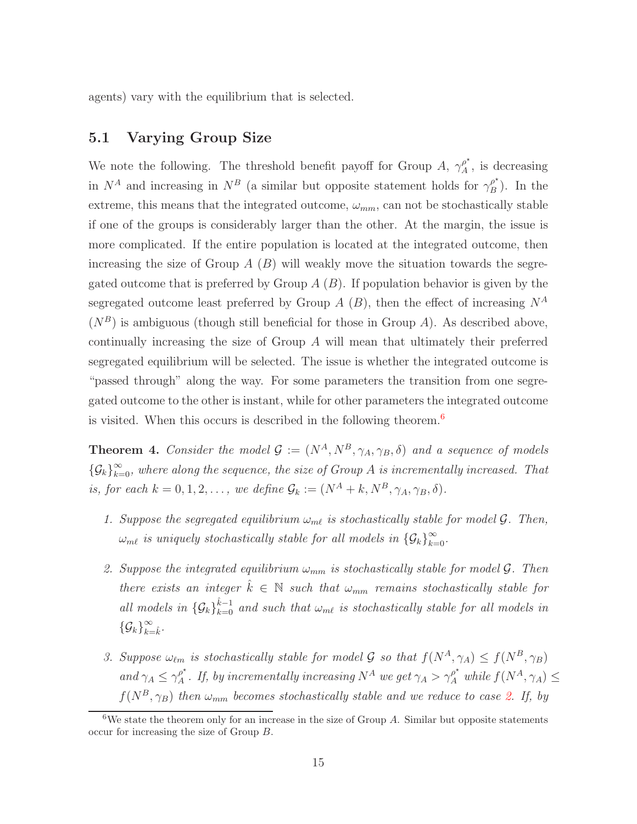agents) vary with the equilibrium that is selected.

#### 5.1 Varying Group Size

We note the following. The threshold benefit payoff for Group A,  $\gamma_A^{\rho^*}$  $A^{\rho}$ , is decreasing in  $N^A$  and increasing in  $N^B$  (a similar but opposite statement holds for  $\gamma_B^{\rho^*}$  $\binom{\rho}{B}$ . In the extreme, this means that the integrated outcome,  $\omega_{mm}$ , can not be stochastically stable if one of the groups is considerably larger than the other. At the margin, the issue is more complicated. If the entire population is located at the integrated outcome, then increasing the size of Group  $A(B)$  will weakly move the situation towards the segregated outcome that is preferred by Group  $A(B)$ . If population behavior is given by the segregated outcome least preferred by Group A  $(B)$ , then the effect of increasing  $N^A$  $(N^B)$  is ambiguous (though still beneficial for those in Group A). As described above, continually increasing the size of Group A will mean that ultimately their preferred segregated equilibrium will be selected. The issue is whether the integrated outcome is "passed through" along the way. For some parameters the transition from one segregated outcome to the other is instant, while for other parameters the integrated outcome is visited. When this occurs is described in the following theorem.<sup>[6](#page-14-0)</sup>

<span id="page-14-3"></span>**Theorem 4.** *Consider the model*  $\mathcal{G} := (N^A, N^B, \gamma_A, \gamma_B, \delta)$  *and a sequence of models*  ${G_k}_{k=0}^{\infty}$ , where along the sequence, the size of Group A is incrementally increased. That *is, for each*  $k = 0, 1, 2, \ldots$ , we define  $\mathcal{G}_k := (N^A + k, N^B, \gamma_A, \gamma_B, \delta)$ .

- <span id="page-14-2"></span><span id="page-14-1"></span>*1. Suppose the segregated equilibrium*  $\omega_{m\ell}$  *is stochastically stable for model*  $\mathcal{G}$ *. Then,*  $\omega_{m\ell}$  is uniquely stochastically stable for all models in  $\{\mathcal{G}_k\}_{k=0}^{\infty}$ .
- *2. Suppose the integrated equilibrium*  $\omega_{mm}$  *is stochastically stable for model*  $\mathcal{G}$ *. Then there exists an integer*  $k \in \mathbb{N}$  *such that*  $\omega_{mm}$  *remains stochastically stable for* all models in  $\{G_k\}_{k=0}^{\hat{k}-1}$  and such that  $\omega_{m\ell}$  is stochastically stable for all models in  ${\{\mathcal{G}_k\}}_{k=\hat{k}}^{\infty}$ .
- <span id="page-14-4"></span>*3. Suppose*  $\omega_{\ell m}$  *is stochastically stable for model* G *so that*  $f(N^A, \gamma_A) \leq f(N^B, \gamma_B)$ *and*  $\gamma_A \leq \gamma_A^{\rho^*}$  $A^{\rho^*}$ . If, by incrementally increasing  $N^A$  we get  $\gamma_A > \gamma_A^{\rho^*}$  while  $f(N^A, \gamma_A) \leq$  $f(N^B, \gamma_B)$  *then*  $\omega_{mm}$  *becomes stochastically stable and we reduce to case [2.](#page-14-1) If, by*

<span id="page-14-0"></span><sup>&</sup>lt;sup>6</sup>We state the theorem only for an increase in the size of Group A. Similar but opposite statements occur for increasing the size of Group B.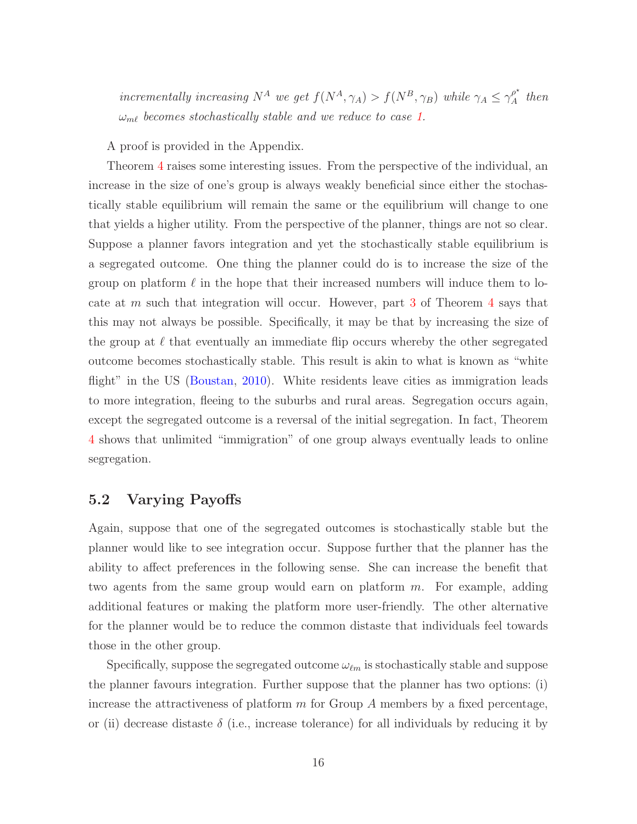*incrementally increasing*  $N^A$  *we get*  $f(N^A, \gamma_A) > f(N^B, \gamma_B)$  *while*  $\gamma_A \leq \gamma_A^{\rho^*}$  $\int_A^{\rho^*}$  then ωmℓ *becomes stochastically stable and we reduce to case [1.](#page-14-2)*

A proof is provided in the Appendix.

Theorem [4](#page-14-3) raises some interesting issues. From the perspective of the individual, an increase in the size of one's group is always weakly beneficial since either the stochastically stable equilibrium will remain the same or the equilibrium will change to one that yields a higher utility. From the perspective of the planner, things are not so clear. Suppose a planner favors integration and yet the stochastically stable equilibrium is a segregated outcome. One thing the planner could do is to increase the size of the group on platform  $\ell$  in the hope that their increased numbers will induce them to locate at  $m$  such that integration will occur. However, part [3](#page-14-4) of Theorem [4](#page-14-3) says that this may not always be possible. Specifically, it may be that by increasing the size of the group at  $\ell$  that eventually an immediate flip occurs whereby the other segregated outcome becomes stochastically stable. This result is akin to what is known as "white flight" in the US [\(Boustan,](#page-18-0) [2010](#page-18-0)). White residents leave cities as immigration leads to more integration, fleeing to the suburbs and rural areas. Segregation occurs again, except the segregated outcome is a reversal of the initial segregation. In fact, Theorem [4](#page-14-3) shows that unlimited "immigration" of one group always eventually leads to online segregation.

#### 5.2 Varying Payoffs

Again, suppose that one of the segregated outcomes is stochastically stable but the planner would like to see integration occur. Suppose further that the planner has the ability to affect preferences in the following sense. She can increase the benefit that two agents from the same group would earn on platform  $m$ . For example, adding additional features or making the platform more user-friendly. The other alternative for the planner would be to reduce the common distaste that individuals feel towards those in the other group.

Specifically, suppose the segregated outcome  $\omega_{\ell m}$  is stochastically stable and suppose the planner favours integration. Further suppose that the planner has two options: (i) increase the attractiveness of platform  $m$  for Group  $A$  members by a fixed percentage, or (ii) decrease distaste  $\delta$  (i.e., increase tolerance) for all individuals by reducing it by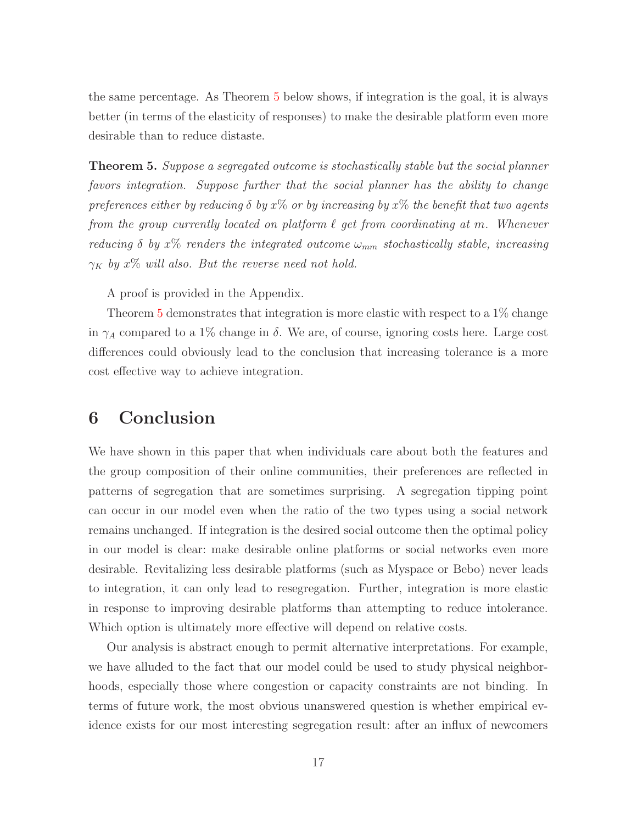the same percentage. As Theorem [5](#page-16-0) below shows, if integration is the goal, it is always better (in terms of the elasticity of responses) to make the desirable platform even more desirable than to reduce distaste.

<span id="page-16-0"></span>Theorem 5. *Suppose a segregated outcome is stochastically stable but the social planner favors integration. Suppose further that the social planner has the ability to change preferences either by reducing*  $\delta$  *by*  $x\%$  *or by increasing by*  $x\%$  *the benefit that two agents from the group currently located on platform*  $\ell$  *get from coordinating at m. Whenever reducing*  $\delta$  *by*  $x\%$  *renders the integrated outcome*  $\omega_{mm}$  *stochastically stable, increasing*  $\gamma_K$  by  $x\%$  will also. But the reverse need not hold.

A proof is provided in the Appendix.

Theorem [5](#page-16-0) demonstrates that integration is more elastic with respect to a 1% change in  $\gamma_A$  compared to a 1% change in  $\delta$ . We are, of course, ignoring costs here. Large cost differences could obviously lead to the conclusion that increasing tolerance is a more cost effective way to achieve integration.

### 6 Conclusion

We have shown in this paper that when individuals care about both the features and the group composition of their online communities, their preferences are reflected in patterns of segregation that are sometimes surprising. A segregation tipping point can occur in our model even when the ratio of the two types using a social network remains unchanged. If integration is the desired social outcome then the optimal policy in our model is clear: make desirable online platforms or social networks even more desirable. Revitalizing less desirable platforms (such as Myspace or Bebo) never leads to integration, it can only lead to resegregation. Further, integration is more elastic in response to improving desirable platforms than attempting to reduce intolerance. Which option is ultimately more effective will depend on relative costs.

Our analysis is abstract enough to permit alternative interpretations. For example, we have alluded to the fact that our model could be used to study physical neighborhoods, especially those where congestion or capacity constraints are not binding. In terms of future work, the most obvious unanswered question is whether empirical evidence exists for our most interesting segregation result: after an influx of newcomers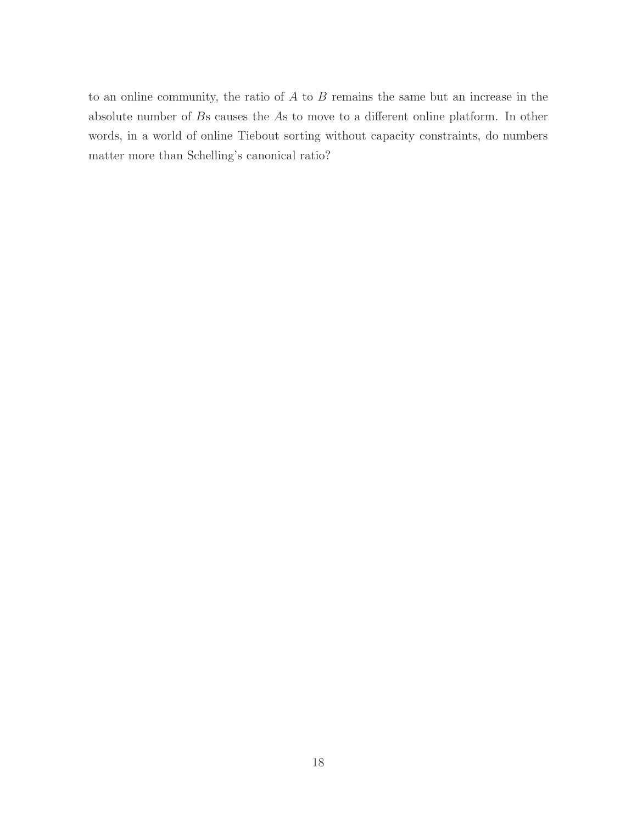to an online community, the ratio of  $A$  to  $B$  remains the same but an increase in the absolute number of Bs causes the As to move to a different online platform. In other words, in a world of online Tiebout sorting without capacity constraints, do numbers matter more than Schelling's canonical ratio?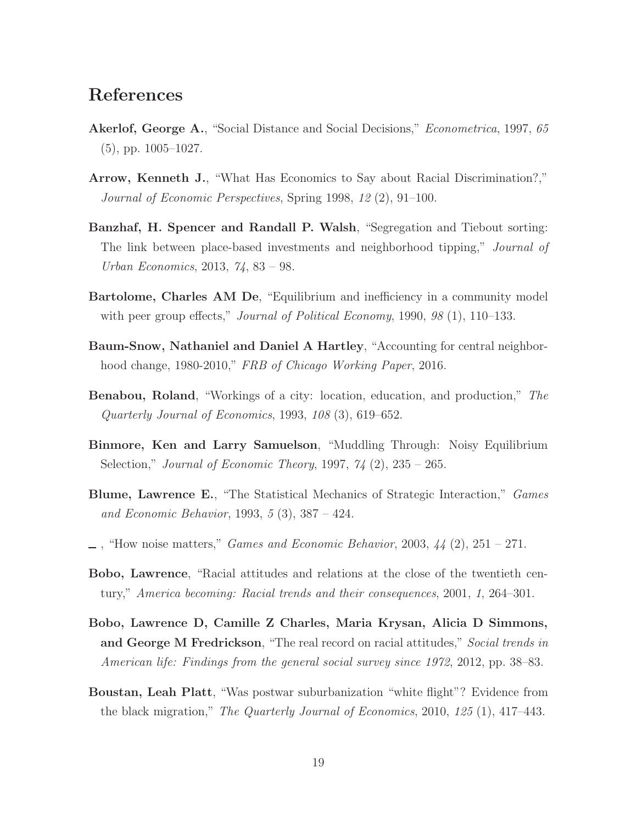# References

- <span id="page-18-2"></span>Akerlof, George A., "Social Distance and Social Decisions," *Econometrica*, 1997, *65* (5), pp. 1005–1027.
- <span id="page-18-3"></span>Arrow, Kenneth J., "What Has Economics to Say about Racial Discrimination?," *Journal of Economic Perspectives*, Spring 1998, *12* (2), 91–100.
- <span id="page-18-1"></span>Banzhaf, H. Spencer and Randall P. Walsh, "Segregation and Tiebout sorting: The link between place-based investments and neighborhood tipping," *Journal of Urban Economics*, 2013, *74*, 83 – 98.
- <span id="page-18-5"></span>Bartolome, Charles AM De, "Equilibrium and inefficiency in a community model with peer group effects," *Journal of Political Economy*, 1990, *98* (1), 110–133.
- <span id="page-18-8"></span>Baum-Snow, Nathaniel and Daniel A Hartley, "Accounting for central neighborhood change, 1980-2010," *FRB of Chicago Working Paper*, 2016.
- <span id="page-18-4"></span>Benabou, Roland, "Workings of a city: location, education, and production," *The Quarterly Journal of Economics*, 1993, *108* (3), 619–652.
- <span id="page-18-9"></span>Binmore, Ken and Larry Samuelson, "Muddling Through: Noisy Equilibrium Selection," *Journal of Economic Theory*, 1997, *74* (2), 235 – 265.
- <span id="page-18-11"></span>Blume, Lawrence E., "The Statistical Mechanics of Strategic Interaction," *Games and Economic Behavior*, 1993, *5* (3), 387 – 424.
- <span id="page-18-10"></span>, "How noise matters," *Games and Economic Behavior*, 2003, *44* (2), 251 – 271.
- <span id="page-18-6"></span>Bobo, Lawrence, "Racial attitudes and relations at the close of the twentieth century," *America becoming: Racial trends and their consequences*, 2001, *1*, 264–301.
- <span id="page-18-7"></span>Bobo, Lawrence D, Camille Z Charles, Maria Krysan, Alicia D Simmons, and George M Fredrickson, "The real record on racial attitudes," *Social trends in American life: Findings from the general social survey since 1972*, 2012, pp. 38–83.
- <span id="page-18-0"></span>Boustan, Leah Platt, "Was postwar suburbanization "white flight"? Evidence from the black migration," *The Quarterly Journal of Economics*, 2010, *125* (1), 417–443.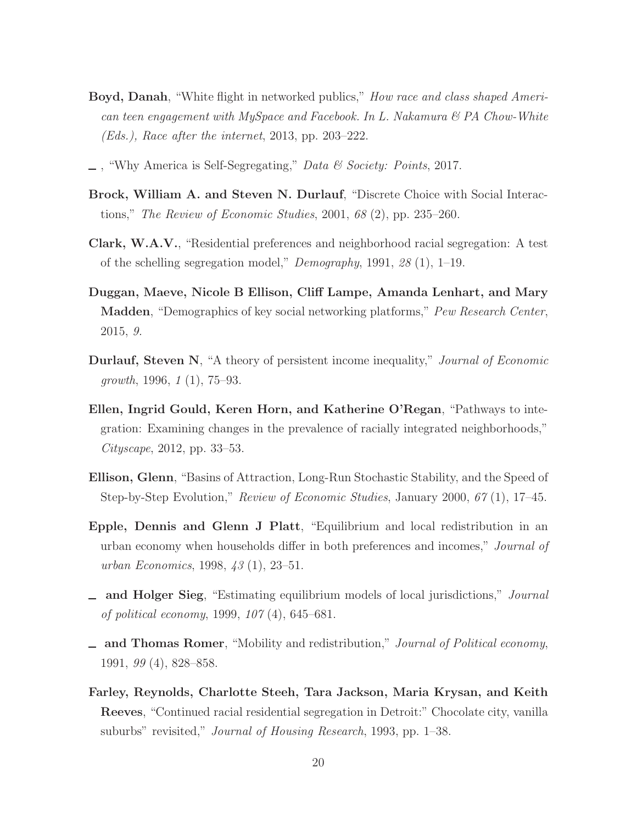- <span id="page-19-1"></span>Boyd, Danah, "White flight in networked publics," *How race and class shaped American teen engagement with MySpace and Facebook. In L. Nakamura & PA Chow-White (Eds.), Race after the internet*, 2013, pp. 203–222.
- <span id="page-19-0"></span>, "Why America is Self-Segregating," *Data & Society: Points*, 2017.
- <span id="page-19-3"></span>Brock, William A. and Steven N. Durlauf, "Discrete Choice with Social Interactions," *The Review of Economic Studies*, 2001, *68* (2), pp. 235–260.
- <span id="page-19-4"></span>Clark, W.A.V., "Residential preferences and neighborhood racial segregation: A test of the schelling segregation model," *Demography*, 1991, *28* (1), 1–19.
- <span id="page-19-2"></span>Duggan, Maeve, Nicole B Ellison, Cliff Lampe, Amanda Lenhart, and Mary Madden, "Demographics of key social networking platforms," *Pew Research Center*, 2015, *9.*
- <span id="page-19-8"></span>Durlauf, Steven N, "A theory of persistent income inequality," *Journal of Economic growth*, 1996, *1* (1), 75–93.
- <span id="page-19-10"></span>Ellen, Ingrid Gould, Keren Horn, and Katherine O'Regan, "Pathways to integration: Examining changes in the prevalence of racially integrated neighborhoods," *Cityscape*, 2012, pp. 33–53.
- <span id="page-19-11"></span>Ellison, Glenn, "Basins of Attraction, Long-Run Stochastic Stability, and the Speed of Step-by-Step Evolution," *Review of Economic Studies*, January 2000, *67* (1), 17–45.
- <span id="page-19-6"></span>Epple, Dennis and Glenn J Platt, "Equilibrium and local redistribution in an urban economy when households differ in both preferences and incomes," *Journal of urban Economics*, 1998, *43* (1), 23–51.
- <span id="page-19-7"></span>and Holger Sieg, "Estimating equilibrium models of local jurisdictions," *Journal of political economy*, 1999, *107* (4), 645–681.
- <span id="page-19-5"></span>and Thomas Romer, "Mobility and redistribution," *Journal of Political economy*, 1991, *99* (4), 828–858.
- <span id="page-19-9"></span>Farley, Reynolds, Charlotte Steeh, Tara Jackson, Maria Krysan, and Keith Reeves, "Continued racial residential segregation in Detroit:" Chocolate city, vanilla suburbs" revisited," *Journal of Housing Research*, 1993, pp. 1–38.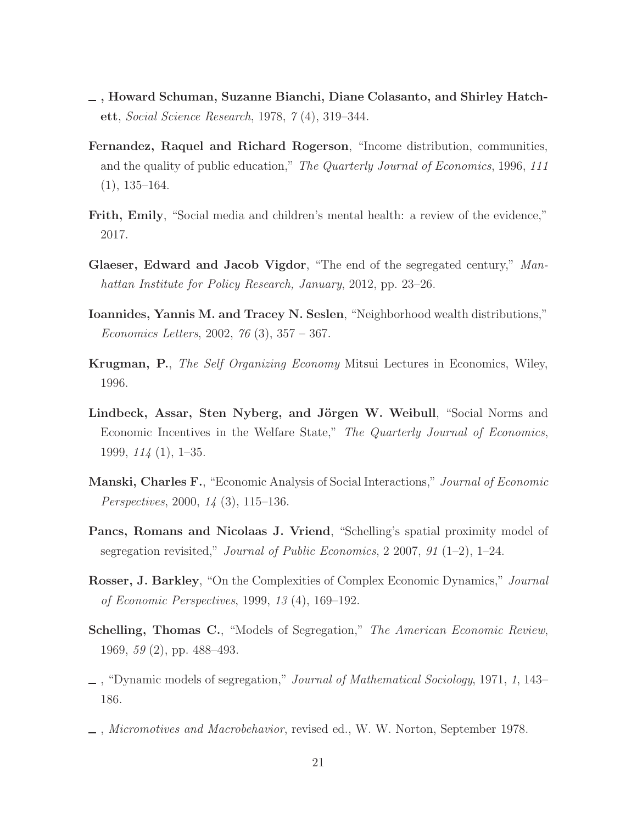- <span id="page-20-10"></span>, Howard Schuman, Suzanne Bianchi, Diane Colasanto, and Shirley Hatchett, *Social Science Research*, 1978, *7* (4), 319–344.
- <span id="page-20-12"></span>Fernandez, Raquel and Richard Rogerson, "Income distribution, communities, and the quality of public education," *The Quarterly Journal of Economics*, 1996, *111*  $(1), 135-164.$
- <span id="page-20-0"></span>Frith, Emily, "Social media and children's mental health: a review of the evidence," 2017.
- <span id="page-20-11"></span>Glaeser, Edward and Jacob Vigdor, "The end of the segregated century," *Manhattan Institute for Policy Research, January*, 2012, pp. 23–26.
- <span id="page-20-4"></span>Ioannides, Yannis M. and Tracey N. Seslen, "Neighborhood wealth distributions," *Economics Letters*, 2002, *76* (3), 357 – 367.
- <span id="page-20-5"></span>Krugman, P., *The Self Organizing Economy* Mitsui Lectures in Economics, Wiley, 1996.
- <span id="page-20-6"></span>Lindbeck, Assar, Sten Nyberg, and Jörgen W. Weibull, "Social Norms and Economic Incentives in the Welfare State," *The Quarterly Journal of Economics*, 1999, *114* (1), 1–35.
- <span id="page-20-7"></span>Manski, Charles F., "Economic Analysis of Social Interactions," *Journal of Economic Perspectives*, 2000, *14* (3), 115–136.
- <span id="page-20-8"></span>Pancs, Romans and Nicolaas J. Vriend, "Schelling's spatial proximity model of segregation revisited," *Journal of Public Economics*, 2 2007, *91* (1–2), 1–24.
- <span id="page-20-9"></span>Rosser, J. Barkley, "On the Complexities of Complex Economic Dynamics," *Journal of Economic Perspectives*, 1999, *13* (4), 169–192.
- <span id="page-20-1"></span>Schelling, Thomas C., "Models of Segregation," *The American Economic Review*, 1969, *59* (2), pp. 488–493.
- <span id="page-20-2"></span>, "Dynamic models of segregation," *Journal of Mathematical Sociology*, 1971, *1*, 143– 186.
- <span id="page-20-3"></span>, *Micromotives and Macrobehavior*, revised ed., W. W. Norton, September 1978.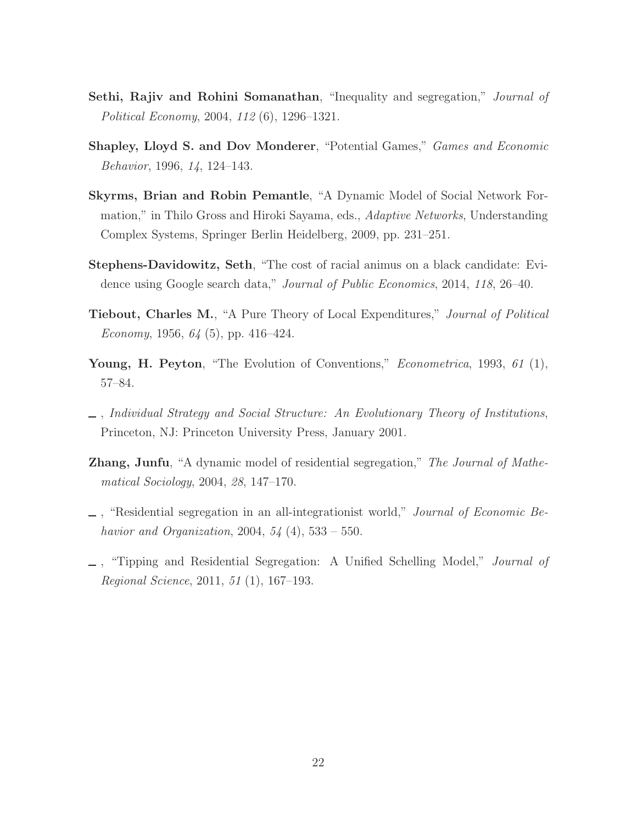- <span id="page-21-1"></span>Sethi, Rajiv and Rohini Somanathan, "Inequality and segregation," *Journal of Political Economy*, 2004, *112* (6), 1296–1321.
- <span id="page-21-8"></span>Shapley, Lloyd S. and Dov Monderer, "Potential Games," *Games and Economic Behavior*, 1996, *14*, 124–143.
- <span id="page-21-2"></span>Skyrms, Brian and Robin Pemantle, "A Dynamic Model of Social Network Formation," in Thilo Gross and Hiroki Sayama, eds., *Adaptive Networks*, Understanding Complex Systems, Springer Berlin Heidelberg, 2009, pp. 231–251.
- <span id="page-21-7"></span>Stephens-Davidowitz, Seth, "The cost of racial animus on a black candidate: Evidence using Google search data," *Journal of Public Economics*, 2014, *118*, 26–40.
- <span id="page-21-0"></span>Tiebout, Charles M., "A Pure Theory of Local Expenditures," *Journal of Political Economy*, 1956, *64* (5), pp. 416–424.
- <span id="page-21-9"></span>Young, H. Peyton, "The Evolution of Conventions," *Econometrica*, 1993, *61* (1), 57–84.
- <span id="page-21-3"></span>, *Individual Strategy and Social Structure: An Evolutionary Theory of Institutions*, Princeton, NJ: Princeton University Press, January 2001.
- <span id="page-21-5"></span>Zhang, Junfu, "A dynamic model of residential segregation," *The Journal of Mathematical Sociology*, 2004, *28*, 147–170.
- <span id="page-21-4"></span>, "Residential segregation in an all-integrationist world," *Journal of Economic Behavior and Organization*, 2004, *54* (4), 533 – 550.
- <span id="page-21-6"></span>, "Tipping and Residential Segregation: A Unified Schelling Model," *Journal of Regional Science*, 2011, *51* (1), 167–193.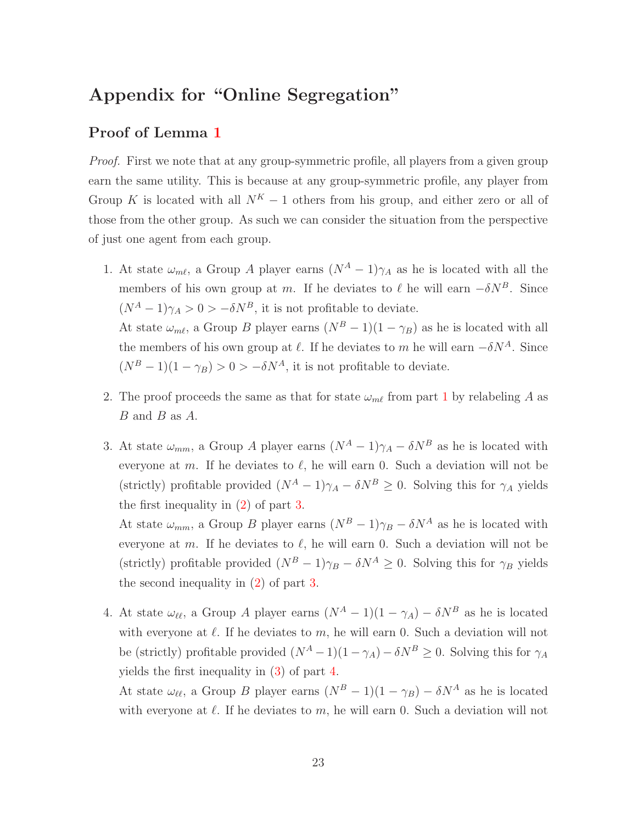# Appendix for "Online Segregation"

#### Proof of Lemma [1](#page-4-1)

*Proof.* First we note that at any group-symmetric profile, all players from a given group earn the same utility. This is because at any group-symmetric profile, any player from Group K is located with all  $N^K - 1$  others from his group, and either zero or all of those from the other group. As such we can consider the situation from the perspective of just one agent from each group.

- 1. At state  $\omega_{m\ell}$ , a Group A player earns  $(N^A 1)\gamma_A$  as he is located with all the members of his own group at m. If he deviates to  $\ell$  he will earn  $-\delta N^B$ . Since  $(N^A - 1)\gamma_A > 0 > -\delta N^B$ , it is not profitable to deviate. At state  $\omega_{m\ell}$ , a Group B player earns  $(N^B - 1)(1 - \gamma_B)$  as he is located with all the members of his own group at  $\ell$ . If he deviates to m he will earn  $-\delta N^A$ . Since  $(N^B - 1)(1 - \gamma_B) > 0 > -\delta N^A$ , it is not profitable to deviate.
- 2. The proof proceeds the same as that for state  $\omega_{m\ell}$  from part [1](#page-23-0) by relabeling A as  $B$  and  $B$  as  $A$ .
- 3. At state  $\omega_{mm}$ , a Group A player earns  $(N^A-1)\gamma_A \delta N^B$  as he is located with everyone at m. If he deviates to  $\ell$ , he will earn 0. Such a deviation will not be (strictly) profitable provided  $(N^A - 1)\gamma_A - \delta N^B \geq 0$ . Solving this for  $\gamma_A$  yields the first inequality in [\(2\)](#page-4-6) of part [3.](#page-4-4)

At state  $\omega_{mm}$ , a Group B player earns  $(N^B - 1)\gamma_B - \delta N^A$  as he is located with everyone at m. If he deviates to  $\ell$ , he will earn 0. Such a deviation will not be (strictly) profitable provided  $(N^B - 1)\gamma_B - \delta N^A \geq 0$ . Solving this for  $\gamma_B$  yields the second inequality in [\(2\)](#page-4-6) of part [3.](#page-4-4)

4. At state  $\omega_{\ell\ell}$ , a Group A player earns  $(N^A - 1)(1 - \gamma_A) - \delta N^B$  as he is located with everyone at  $\ell$ . If he deviates to m, he will earn 0. Such a deviation will not be (strictly) profitable provided  $(N^A - 1)(1 - \gamma_A) - \delta N^B \geq 0$ . Solving this for  $\gamma_A$ yields the first inequality in [\(3\)](#page-5-0) of part [4.](#page-4-5)

At state  $\omega_{\ell\ell}$ , a Group B player earns  $(N^B - 1)(1 - \gamma_B) - \delta N^A$  as he is located with everyone at  $\ell$ . If he deviates to m, he will earn 0. Such a deviation will not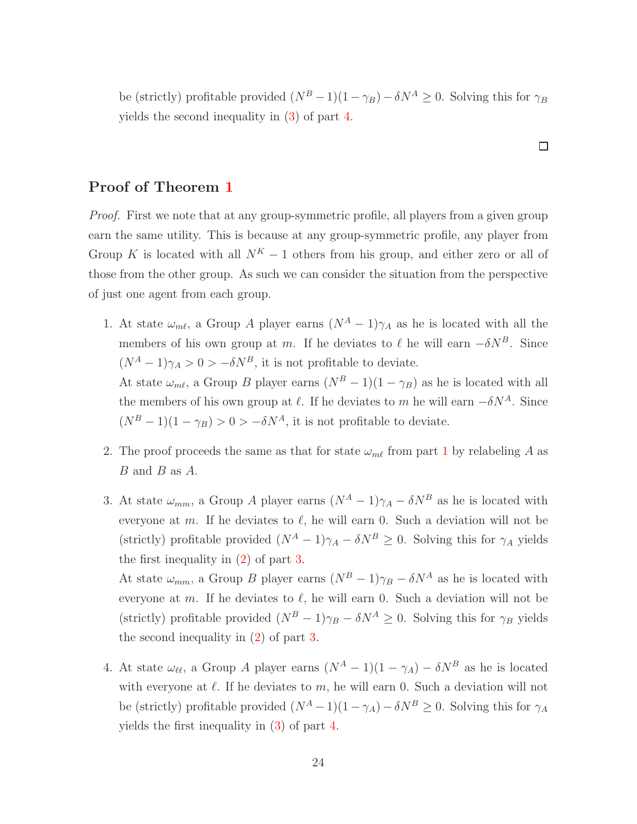be (strictly) profitable provided  $(N^B - 1)(1 - \gamma_B) - \delta N^A \geq 0$ . Solving this for  $\gamma_B$ yields the second inequality in [\(3\)](#page-5-0) of part [4.](#page-4-5)

 $\Box$ 

#### Proof of Theorem [1](#page-4-1)

*Proof.* First we note that at any group-symmetric profile, all players from a given group earn the same utility. This is because at any group-symmetric profile, any player from Group K is located with all  $N^K - 1$  others from his group, and either zero or all of those from the other group. As such we can consider the situation from the perspective of just one agent from each group.

- <span id="page-23-0"></span>1. At state  $\omega_{m\ell}$ , a Group A player earns  $(N^A - 1)\gamma_A$  as he is located with all the members of his own group at m. If he deviates to  $\ell$  he will earn  $-\delta N^B$ . Since  $(N^A - 1)\gamma_A > 0 > -\delta N^B$ , it is not profitable to deviate. At state  $\omega_{m\ell}$ , a Group B player earns  $(N^B - 1)(1 - \gamma_B)$  as he is located with all the members of his own group at  $\ell$ . If he deviates to m he will earn  $-\delta N^A$ . Since  $(N^B - 1)(1 - \gamma_B) > 0 > -\delta N^A$ , it is not profitable to deviate.
- 2. The proof proceeds the same as that for state  $\omega_{m\ell}$  from part [1](#page-23-0) by relabeling A as B and B as A.
- 3. At state  $\omega_{mm}$ , a Group A player earns  $(N^A 1)\gamma_A \delta N^B$  as he is located with everyone at m. If he deviates to  $\ell$ , he will earn 0. Such a deviation will not be (strictly) profitable provided  $(N^A - 1)\gamma_A - \delta N^B \geq 0$ . Solving this for  $\gamma_A$  yields the first inequality in [\(2\)](#page-4-6) of part [3.](#page-4-4)

At state  $\omega_{mm}$ , a Group B player earns  $(N^B - 1)\gamma_B - \delta N^A$  as he is located with everyone at m. If he deviates to  $\ell$ , he will earn 0. Such a deviation will not be (strictly) profitable provided  $(N^B - 1)\gamma_B - \delta N^A \geq 0$ . Solving this for  $\gamma_B$  yields the second inequality in [\(2\)](#page-4-6) of part [3.](#page-4-4)

4. At state  $\omega_{\ell\ell}$ , a Group A player earns  $(N^A - 1)(1 - \gamma_A) - \delta N^B$  as he is located with everyone at  $\ell$ . If he deviates to  $m$ , he will earn 0. Such a deviation will not be (strictly) profitable provided  $(N^A - 1)(1 - \gamma_A) - \delta N^B \geq 0$ . Solving this for  $\gamma_A$ yields the first inequality in [\(3\)](#page-5-0) of part [4.](#page-4-5)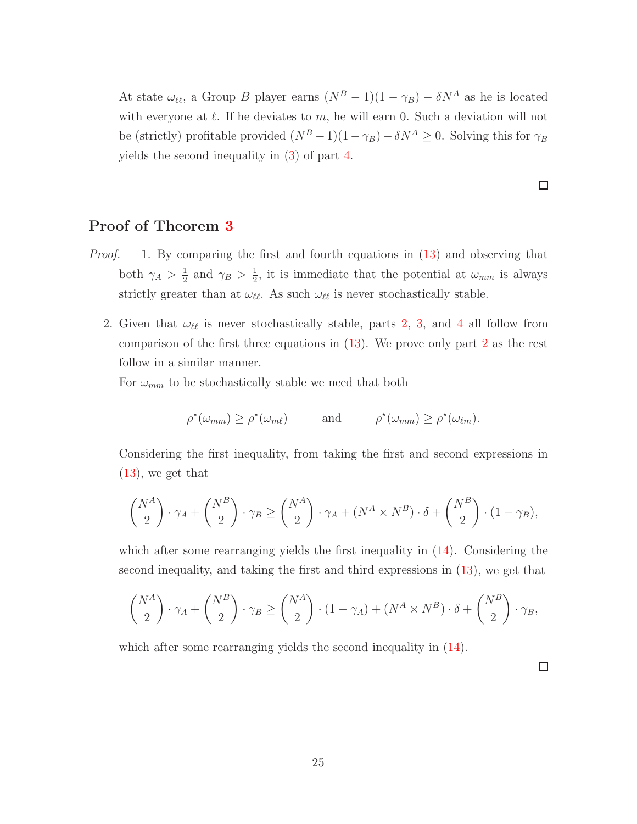At state  $\omega_{\ell\ell}$ , a Group B player earns  $(N^B - 1)(1 - \gamma_B) - \delta N^A$  as he is located with everyone at  $\ell$ . If he deviates to m, he will earn 0. Such a deviation will not be (strictly) profitable provided  $(N^B - 1)(1 - \gamma_B) - \delta N^A \geq 0$ . Solving this for  $\gamma_B$ yields the second inequality in [\(3\)](#page-5-0) of part [4.](#page-4-5)

 $\Box$ 

#### Proof of Theorem [3](#page-12-0)

- *Proof.* 1. By comparing the first and fourth equations in [\(13\)](#page-12-2) and observing that both  $\gamma_A > \frac{1}{2}$  $\frac{1}{2}$  and  $\gamma_B > \frac{1}{2}$  $\frac{1}{2}$ , it is immediate that the potential at  $\omega_{mm}$  is always strictly greater than at  $\omega_{\ell\ell}$ . As such  $\omega_{\ell\ell}$  is never stochastically stable.
	- 2. Given that  $\omega_{\ell\ell}$  is never stochastically stable, parts [2,](#page-12-3) [3,](#page-12-4) and [4](#page-12-5) all follow from comparison of the first three equations in [\(13\)](#page-12-2). We prove only part [2](#page-12-3) as the rest follow in a similar manner.

For  $\omega_{mm}$  to be stochastically stable we need that both

$$
\rho^{\star}(\omega_{mm}) \geq \rho^{\star}(\omega_{m\ell}) \quad \text{and} \quad \rho^{\star}(\omega_{mm}) \geq \rho^{\star}(\omega_{\ell m}).
$$

Considering the first inequality, from taking the first and second expressions in  $(13)$ , we get that

$$
\binom{N^A}{2} \cdot \gamma_A + \binom{N^B}{2} \cdot \gamma_B \ge \binom{N^A}{2} \cdot \gamma_A + (N^A \times N^B) \cdot \delta + \binom{N^B}{2} \cdot (1 - \gamma_B),
$$

which after some rearranging yields the first inequality in [\(14\)](#page-12-1). Considering the second inequality, and taking the first and third expressions in [\(13\)](#page-12-2), we get that

$$
\binom{N^A}{2} \cdot \gamma_A + \binom{N^B}{2} \cdot \gamma_B \ge \binom{N^A}{2} \cdot (1 - \gamma_A) + (N^A \times N^B) \cdot \delta + \binom{N^B}{2} \cdot \gamma_B,
$$

which after some rearranging yields the second inequality in  $(14)$ .

□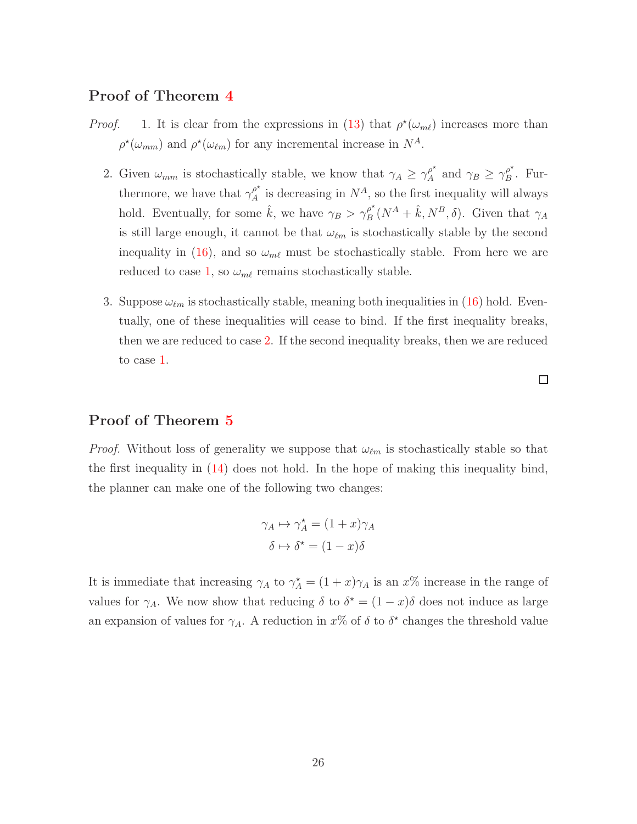#### Proof of Theorem [4](#page-14-3)

- *Proof.* 1. It is clear from the expressions in [\(13\)](#page-12-2) that  $\rho^*(\omega_{m\ell})$  increases more than  $\rho^*(\omega_{mm})$  and  $\rho^*(\omega_{\ell m})$  for any incremental increase in  $N^A$ .
	- 2. Given  $\omega_{mm}$  is stochastically stable, we know that  $\gamma_A \geq \gamma_A^{\rho^*}$  $_{A}^{\rho^{\star}}$  and  $\gamma_B \geq \gamma_B^{\rho^{\star}}$  $B^{\rho}$ . Furthermore, we have that  $\gamma_A^{\rho^*}$  $\int_A^{\rho^*}$  is decreasing in  $N^A$ , so the first inequality will always hold. Eventually, for some  $\hat{k}$ , we have  $\gamma_B > \gamma_B^{\rho^*}$  $\int_{B}^{\rho^*} (N^A + \hat{k}, N^B, \delta)$ . Given that  $\gamma_A$ is still large enough, it cannot be that  $\omega_{\ell m}$  is stochastically stable by the second inequality in [\(16\)](#page-12-6), and so  $\omega_{m\ell}$  must be stochastically stable. From here we are reduced to case [1,](#page-14-2) so  $\omega_{m\ell}$  remains stochastically stable.
	- 3. Suppose  $\omega_{\ell m}$  is stochastically stable, meaning both inequalities in [\(16\)](#page-12-6) hold. Eventually, one of these inequalities will cease to bind. If the first inequality breaks, then we are reduced to case [2.](#page-14-1) If the second inequality breaks, then we are reduced to case [1.](#page-14-2)

□

#### Proof of Theorem [5](#page-16-0)

*Proof.* Without loss of generality we suppose that  $\omega_{\ell m}$  is stochastically stable so that the first inequality in [\(14\)](#page-12-1) does not hold. In the hope of making this inequality bind, the planner can make one of the following two changes:

$$
\gamma_A \mapsto \gamma_A^* = (1+x)\gamma_A
$$

$$
\delta \mapsto \delta^* = (1-x)\delta
$$

It is immediate that increasing  $\gamma_A$  to  $\gamma_A^* = (1+x)\gamma_A$  is an  $x\%$  increase in the range of values for  $\gamma_A$ . We now show that reducing  $\delta$  to  $\delta^* = (1-x)\delta$  does not induce as large an expansion of values for  $\gamma_A$ . A reduction in  $x\%$  of  $\delta$  to  $\delta^*$  changes the threshold value